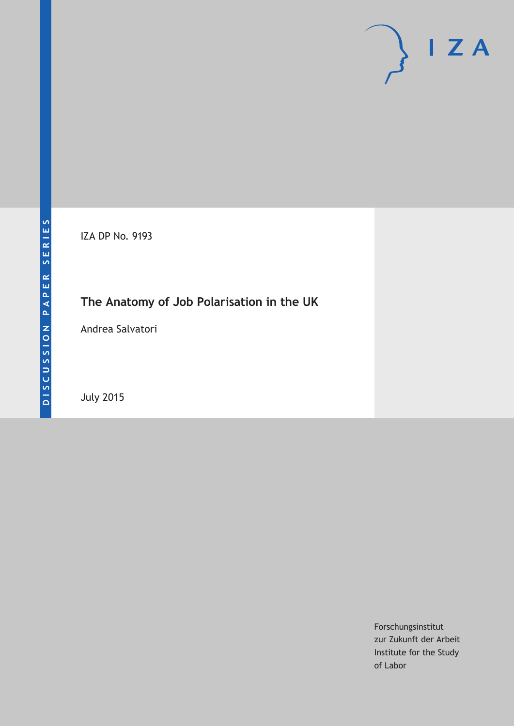# $\mathsf{I}$  Z A

IZA DP No. 9193

# **The Anatomy of Job Polarisation in the UK**

Andrea Salvatori

July 2015

Forschungsinstitut zur Zukunft der Arbeit Institute for the Study of Labor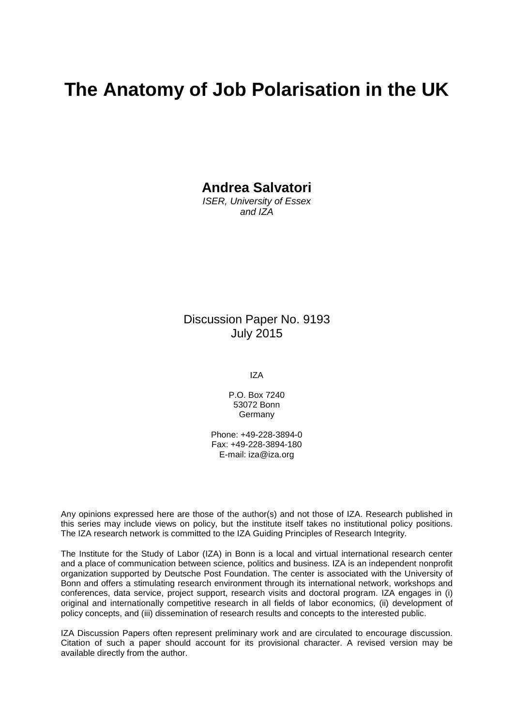# **The Anatomy of Job Polarisation in the UK**

**Andrea Salvatori**

*ISER, University of Essex and IZA*

Discussion Paper No. 9193 July 2015

IZA

P.O. Box 7240 53072 Bonn Germany

Phone: +49-228-3894-0 Fax: +49-228-3894-180 E-mail: iza@iza.org

Any opinions expressed here are those of the author(s) and not those of IZA. Research published in this series may include views on policy, but the institute itself takes no institutional policy positions. The IZA research network is committed to the IZA Guiding Principles of Research Integrity.

The Institute for the Study of Labor (IZA) in Bonn is a local and virtual international research center and a place of communication between science, politics and business. IZA is an independent nonprofit organization supported by Deutsche Post Foundation. The center is associated with the University of Bonn and offers a stimulating research environment through its international network, workshops and conferences, data service, project support, research visits and doctoral program. IZA engages in (i) original and internationally competitive research in all fields of labor economics, (ii) development of policy concepts, and (iii) dissemination of research results and concepts to the interested public.

<span id="page-1-0"></span>IZA Discussion Papers often represent preliminary work and are circulated to encourage discussion. Citation of such a paper should account for its provisional character. A revised version may be available directly from the author.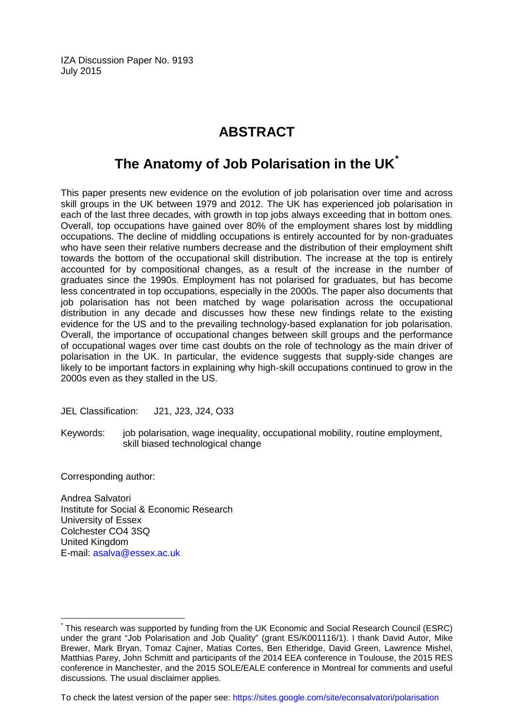IZA Discussion Paper No. 9193 July 2015

# **ABSTRACT**

# **The Anatomy of Job Polarisation in the UK[\\*](#page-1-0)**

This paper presents new evidence on the evolution of job polarisation over time and across skill groups in the UK between 1979 and 2012. The UK has experienced job polarisation in each of the last three decades, with growth in top jobs always exceeding that in bottom ones. Overall, top occupations have gained over 80% of the employment shares lost by middling occupations. The decline of middling occupations is entirely accounted for by non-graduates who have seen their relative numbers decrease and the distribution of their employment shift towards the bottom of the occupational skill distribution. The increase at the top is entirely accounted for by compositional changes, as a result of the increase in the number of graduates since the 1990s. Employment has not polarised for graduates, but has become less concentrated in top occupations, especially in the 2000s. The paper also documents that job polarisation has not been matched by wage polarisation across the occupational distribution in any decade and discusses how these new findings relate to the existing evidence for the US and to the prevailing technology-based explanation for job polarisation. Overall, the importance of occupational changes between skill groups and the performance of occupational wages over time cast doubts on the role of technology as the main driver of polarisation in the UK. In particular, the evidence suggests that supply-side changes are likely to be important factors in explaining why high-skill occupations continued to grow in the 2000s even as they stalled in the US.

JEL Classification: J21, J23, J24, O33

Keywords: job polarisation, wage inequality, occupational mobility, routine employment, skill biased technological change

Corresponding author:

Andrea Salvatori Institute for Social & Economic Research University of Essex Colchester CO4 3SQ United Kingdom E-mail: [asalva@essex.ac.uk](mailto:asalva@essex.ac.uk)

To check the latest version of the paper see: <https://sites.google.com/site/econsalvatori/polarisation>

\* This research was supported by funding from the UK Economic and Social Research Council (ESRC) under the grant "Job Polarisation and Job Quality" (grant ES/K001116/1). I thank David Autor, Mike Brewer, Mark Bryan, Tomaz Cajner, Matias Cortes, Ben Etheridge, David Green, Lawrence Mishel, Matthias Parey, John Schmitt and participants of the 2014 EEA conference in Toulouse, the 2015 RES conference in Manchester, and the 2015 SOLE/EALE conference in Montreal for comments and useful discussions. The usual disclaimer applies.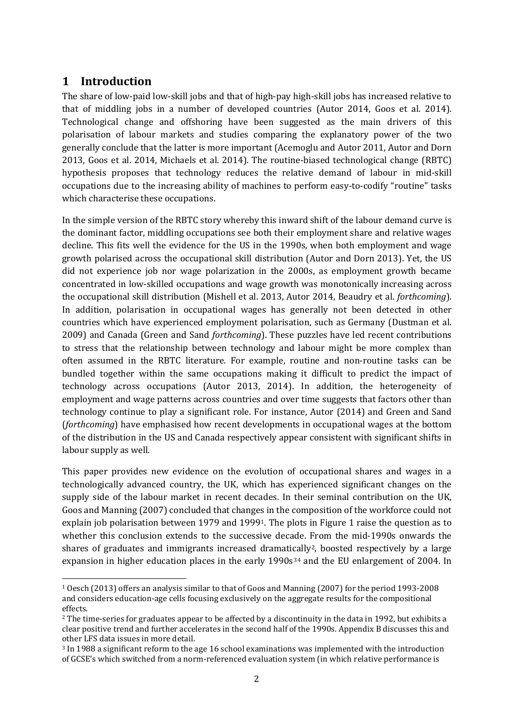## **1 Introduction**

The share of low-paid low-skill jobs and that of high-pay high-skill jobs has increased relative to that of middling jobs in a number of developed countries (Autor 2014, Goos et al. 2014). Technological change and offshoring have been suggested as the main drivers of this polarisation of labour markets and studies comparing the explanatory power of the two generally conclude that the latter is more important (Acemoglu and Autor 2011, Autor and Dorn 2013, Goos et al. 2014, Michaels et al. 2014). The routine-biased technological change (RBTC) hypothesis proposes that technology reduces the relative demand of labour in mid-skill occupations due to the increasing ability of machines to perform easy-to-codify "routine" tasks which characterise these occupations.

In the simple version of the RBTC story whereby this inward shift of the labour demand curve is the dominant factor, middling occupations see both their employment share and relative wages decline. This fits well the evidence for the US in the 1990s, when both employment and wage growth polarised across the occupational skill distribution (Autor and Dorn 2013). Yet, the US did not experience job nor wage polarization in the 2000s, as employment growth became concentrated in low-skilled occupations and wage growth was monotonically increasing across the occupational skill distribution (Mishell et al. 2013, Autor 2014, Beaudry et al. *forthcoming*). In addition, polarisation in occupational wages has generally not been detected in other countries which have experienced employment polarisation, such as Germany (Dustman et al. 2009) and Canada (Green and Sand *forthcoming*). These puzzles have led recent contributions to stress that the relationship between technology and labour might be more complex than often assumed in the RBTC literature. For example, routine and non-routine tasks can be bundled together within the same occupations making it difficult to predict the impact of technology across occupations (Autor 2013, 2014). In addition, the heterogeneity of employment and wage patterns across countries and over time suggests that factors other than technology continue to play a significant role. For instance, Autor (2014) and Green and Sand (*forthcoming*) have emphasised how recent developments in occupational wages at the bottom of the distribution in the US and Canada respectively appear consistent with significant shifts in labour supply as well.

This paper provides new evidence on the evolution of occupational shares and wages in a technologically advanced country, the UK, which has experienced significant changes on the supply side of the labour market in recent decades. In their seminal contribution on the UK, Goos and Manning (2007) concluded that changes in the composition of the workforce could not explain job polarisation between 1979 and 1999[1](#page-3-0). The plots i[n Figure 1](#page-35-0) raise the question as to whether this conclusion extends to the successive decade. From the mid-1990s onwards the shares of graduates and immigrants in[c](#page-3-2)re[a](#page-3-0)sed dramatically<sup>2</sup>, boosted respectively by a large expansion in higher education places in the early 1990s<sup>34</sup> and the EU enlargement of 2004. In

<span id="page-3-0"></span> <sup>1</sup> Oesch (2013) offers an analysis similar to that of Goos and Manning (2007) for the period 1993-2008 and considers education-age cells focusing exclusively on the aggregate results for the compositional effects.

<span id="page-3-1"></span><sup>2</sup> The time-series for graduates appear to be affected by a discontinuity in the data in 1992, but exhibits a clear positive trend and further accelerates in the second half of the 1990s. Appendix B discusses this and other LFS data issues in more detail.

<span id="page-3-2"></span><sup>3</sup> In 1988 a significant reform to the age 16 school examinations was implemented with the introduction of GCSE's which switched from a norm-referenced evaluation system (in which relative performance is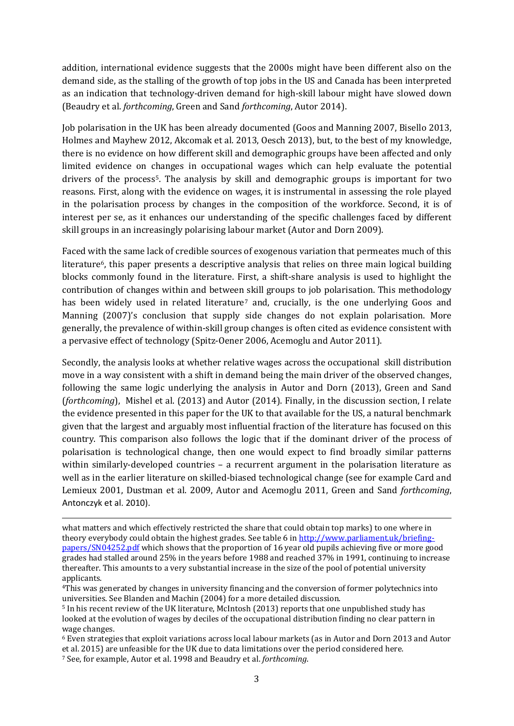addition, international evidence suggests that the 2000s might have been different also on the demand side, as the stalling of the growth of top jobs in the US and Canada has been interpreted as an indication that technology-driven demand for high-skill labour might have slowed down (Beaudry et al. *forthcoming*, Green and Sand *forthcoming*, Autor 2014).

Job polarisation in the UK has been already documented (Goos and Manning 2007, Bisello 2013, Holmes and Mayhew 2012, Akcomak et al. 2013, Oesch 2013), but, to the best of my knowledge, there is no evidence on how different skill and demographic groups have been affected and only limited evidence on changes in occupational wages which can help evaluate the potential drivers of the process[5](#page-4-0). The analysis by skill and demographic groups is important for two reasons. First, along with the evidence on wages, it is instrumental in assessing the role played in the polarisation process by changes in the composition of the workforce. Second, it is of interest per se, as it enhances our understanding of the specific challenges faced by different skill groups in an increasingly polarising labour market (Autor and Dorn 2009).

Faced with the same lack of credible sources of exogenous variation that permeates much of this literature<sup>[6](#page-4-1)</sup>, this paper presents a descriptive analysis that relies on three main logical building blocks commonly found in the literature. First, a shift-share analysis is used to highlight the contribution of changes within and between [s](#page-4-2)kill groups to job polarisation. This methodology has been widely used in related literature<sup>7</sup> and, crucially, is the one underlying Goos and Manning (2007)'s conclusion that supply side changes do not explain polarisation. More generally, the prevalence of within-skill group changes is often cited as evidence consistent with a pervasive effect of technology (Spitz-Oener 2006, Acemoglu and Autor 2011).

Secondly, the analysis looks at whether relative wages across the occupational skill distribution move in a way consistent with a shift in demand being the main driver of the observed changes, following the same logic underlying the analysis in Autor and Dorn (2013), Green and Sand (*forthcoming*), Mishel et al. (2013) and Autor (2014). Finally, in the discussion section, I relate the evidence presented in this paper for the UK to that available for the US, a natural benchmark given that the largest and arguably most influential fraction of the literature has focused on this country. This comparison also follows the logic that if the dominant driver of the process of polarisation is technological change, then one would expect to find broadly similar patterns within similarly-developed countries – a recurrent argument in the polarisation literature as well as in the earlier literature on skilled-biased technological change (see for example Card and Lemieux 2001, Dustman et al. 2009, Autor and Acemoglu 2011, Green and Sand *forthcoming*, Antonczyk et al. 2010).

<span id="page-4-2"></span><span id="page-4-1"></span><sup>6</sup> Even strategies that exploit variations across local labour markets (as in Autor and Dorn 2013 and Autor et al. 2015) are unfeasible for the UK due to data limitations over the period considered here.

j what matters and which effectively restricted the share that could obtain top marks) to one where in theory everybody could obtain the highest grades. See table 6 i[n http://www.parliament.uk/briefing](http://www.parliament.uk/briefing-papers/SN04252.pdf)[papers/SN04252.pdf](http://www.parliament.uk/briefing-papers/SN04252.pdf) which shows that the proportion of 16 year old pupils achieving five or more good grades had stalled around 25% in the years before 1988 and reached 37% in 1991, continuing to increase thereafter. This amounts to a very substantial increase in the size of the pool of potential university applicants.

<sup>4</sup>This was generated by changes in university financing and the conversion of former polytechnics into universities. See Blanden and Machin (2004) for a more detailed discussion.

<span id="page-4-0"></span><sup>5</sup> In his recent review of the UK literature, McIntosh (2013) reports that one unpublished study has looked at the evolution of wages by deciles of the occupational distribution finding no clear pattern in wage changes.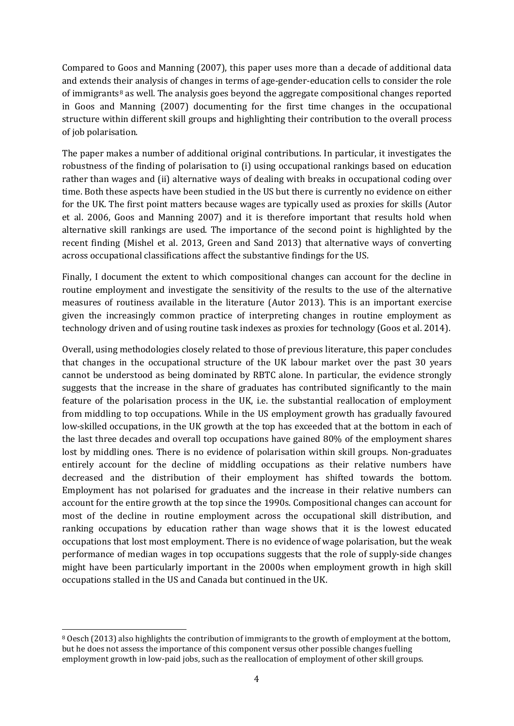Compared to Goos and Manning (2007), this paper uses more than a decade of additional data and extends t[he](#page-5-0)ir analysis of changes in terms of age-gender-education cells to consider the role of immigrants<sup>8</sup> as well. The analysis goes beyond the aggregate compositional changes reported in Goos and Manning (2007) documenting for the first time changes in the occupational structure within different skill groups and highlighting their contribution to the overall process of job polarisation.

The paper makes a number of additional original contributions. In particular, it investigates the robustness of the finding of polarisation to (i) using occupational rankings based on education rather than wages and (ii) alternative ways of dealing with breaks in occupational coding over time. Both these aspects have been studied in the US but there is currently no evidence on either for the UK. The first point matters because wages are typically used as proxies for skills (Autor et al. 2006, Goos and Manning 2007) and it is therefore important that results hold when alternative skill rankings are used. The importance of the second point is highlighted by the recent finding (Mishel et al. 2013, Green and Sand 2013) that alternative ways of converting across occupational classifications affect the substantive findings for the US.

Finally, I document the extent to which compositional changes can account for the decline in routine employment and investigate the sensitivity of the results to the use of the alternative measures of routiness available in the literature (Autor 2013). This is an important exercise given the increasingly common practice of interpreting changes in routine employment as technology driven and of using routine task indexes as proxies for technology (Goos et al. 2014).

Overall, using methodologies closely related to those of previous literature, this paper concludes that changes in the occupational structure of the UK labour market over the past 30 years cannot be understood as being dominated by RBTC alone. In particular, the evidence strongly suggests that the increase in the share of graduates has contributed significantly to the main feature of the polarisation process in the UK, i.e. the substantial reallocation of employment from middling to top occupations. While in the US employment growth has gradually favoured low-skilled occupations, in the UK growth at the top has exceeded that at the bottom in each of the last three decades and overall top occupations have gained 80% of the employment shares lost by middling ones. There is no evidence of polarisation within skill groups. Non-graduates entirely account for the decline of middling occupations as their relative numbers have decreased and the distribution of their employment has shifted towards the bottom. Employment has not polarised for graduates and the increase in their relative numbers can account for the entire growth at the top since the 1990s. Compositional changes can account for most of the decline in routine employment across the occupational skill distribution, and ranking occupations by education rather than wage shows that it is the lowest educated occupations that lost most employment. There is no evidence of wage polarisation, but the weak performance of median wages in top occupations suggests that the role of supply-side changes might have been particularly important in the 2000s when employment growth in high skill occupations stalled in the US and Canada but continued in the UK.

<span id="page-5-0"></span> <sup>8</sup> Oesch (2013) also highlights the contribution of immigrants to the growth of employment at the bottom, but he does not assess the importance of this component versus other possible changes fuelling employment growth in low-paid jobs, such as the reallocation of employment of other skill groups.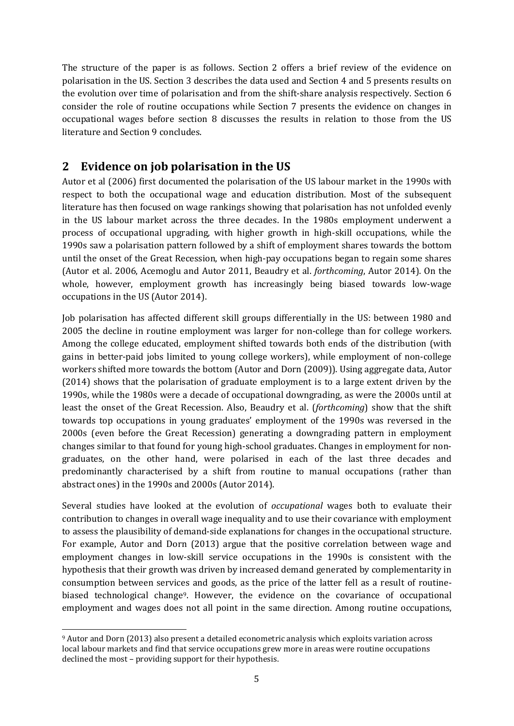The structure of the paper is as follows. Section [2](#page-6-0) offers a brief review of the evidence on polarisation in the US. Sectio[n 3](#page-7-0) describes the data used and Section [4](#page-7-1) and [5](#page-10-0) presents results on the evolution over time of polarisation and from the shift-share analysis respectively. Section [6](#page-13-0) consider the role of routine occupations while Section [7](#page-15-0) presents the evidence on changes in occupational wages before section [8](#page-16-0) discusses the results in relation to those from the US literature and Section [9](#page-19-0) concludes.

#### <span id="page-6-0"></span>**2 Evidence on job polarisation in the US**

Autor et al (2006) first documented the polarisation of the US labour market in the 1990s with respect to both the occupational wage and education distribution. Most of the subsequent literature has then focused on wage rankings showing that polarisation has not unfolded evenly in the US labour market across the three decades. In the 1980s employment underwent a process of occupational upgrading, with higher growth in high-skill occupations, while the 1990s saw a polarisation pattern followed by a shift of employment shares towards the bottom until the onset of the Great Recession, when high-pay occupations began to regain some shares (Autor et al. 2006, Acemoglu and Autor 2011, Beaudry et al. *forthcoming*, Autor 2014). On the whole, however, employment growth has increasingly being biased towards low-wage occupations in the US (Autor 2014).

Job polarisation has affected different skill groups differentially in the US: between 1980 and 2005 the decline in routine employment was larger for non-college than for college workers. Among the college educated, employment shifted towards both ends of the distribution (with gains in better-paid jobs limited to young college workers), while employment of non-college workers shifted more towards the bottom (Autor and Dorn (2009)). Using aggregate data, Autor (2014) shows that the polarisation of graduate employment is to a large extent driven by the 1990s, while the 1980s were a decade of occupational downgrading, as were the 2000s until at least the onset of the Great Recession. Also, Beaudry et al. (*forthcoming*) show that the shift towards top occupations in young graduates' employment of the 1990s was reversed in the 2000s (even before the Great Recession) generating a downgrading pattern in employment changes similar to that found for young high-school graduates. Changes in employment for nongraduates, on the other hand, were polarised in each of the last three decades and predominantly characterised by a shift from routine to manual occupations (rather than abstract ones) in the 1990s and 2000s (Autor 2014).

Several studies have looked at the evolution of *occupational* wages both to evaluate their contribution to changes in overall wage inequality and to use their covariance with employment to assess the plausibility of demand-side explanations for changes in the occupational structure. For example, Autor and Dorn (2013) argue that the positive correlation between wage and employment changes in low-skill service occupations in the 1990s is consistent with the hypothesis that their growth was driven by increased demand generated by complementarity in consumption between services and goods, as the price of the latter fell as a result of routinebiased technological change[9](#page-6-1). However, the evidence on the covariance of occupational employment and wages does not all point in the same direction. Among routine occupations,

<span id="page-6-1"></span> <sup>9</sup> Autor and Dorn (2013) also present a detailed econometric analysis which exploits variation across local labour markets and find that service occupations grew more in areas were routine occupations declined the most – providing support for their hypothesis.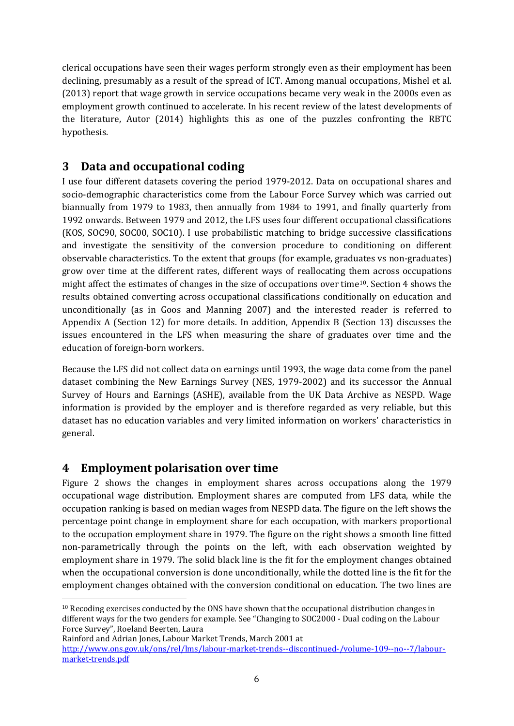clerical occupations have seen their wages perform strongly even as their employment has been declining, presumably as a result of the spread of ICT. Among manual occupations, Mishel et al. (2013) report that wage growth in service occupations became very weak in the 2000s even as employment growth continued to accelerate. In his recent review of the latest developments of the literature, Autor (2014) highlights this as one of the puzzles confronting the RBTC hypothesis.

## <span id="page-7-0"></span>**3 Data and occupational coding**

I use four different datasets covering the period 1979-2012. Data on occupational shares and socio-demographic characteristics come from the Labour Force Survey which was carried out biannually from 1979 to 1983, then annually from 1984 to 1991, and finally quarterly from 1992 onwards. Between 1979 and 2012, the LFS uses four different occupational classifications (KOS, SOC90, SOC00, SOC10). I use probabilistic matching to bridge successive classifications and investigate the sensitivity of the conversion procedure to conditioning on different observable characteristics. To the extent that groups (for example, graduates vs non-graduates) grow over time at the different rates, different ways of reallocating them across occupations might affect the estimates of changes in the size of occupations over time[10.](#page-7-2) Sectio[n 4](#page-7-1) shows the results obtained converting across occupational classifications conditionally on education and unconditionally (as in Goos and Manning 2007) and the interested reader is referred to Appendix A (Section [12\)](#page-41-0) for more details. In addition, Appendix B (Section [13\)](#page-42-0) discusses the issues encountered in the LFS when measuring the share of graduates over time and the education of foreign-born workers.

Because the LFS did not collect data on earnings until 1993, the wage data come from the panel dataset combining the New Earnings Survey (NES, 1979-2002) and its successor the Annual Survey of Hours and Earnings (ASHE), available from the UK Data Archive as NESPD. Wage information is provided by the employer and is therefore regarded as very reliable, but this dataset has no education variables and very limited information on workers' characteristics in general.

## <span id="page-7-1"></span>**4 Employment polarisation over time**

[Figure 2](#page-36-0) shows the changes in employment shares across occupations along the 1979 occupational wage distribution. Employment shares are computed from LFS data, while the occupation ranking is based on median wages from NESPD data. The figure on the left shows the percentage point change in employment share for each occupation, with markers proportional to the occupation employment share in 1979. The figure on the right shows a smooth line fitted non-parametrically through the points on the left, with each observation weighted by employment share in 1979. The solid black line is the fit for the employment changes obtained when the occupational conversion is done unconditionally, while the dotted line is the fit for the employment changes obtained with the conversion conditional on education. The two lines are

<span id="page-7-2"></span> $10$  Recoding exercises conducted by the ONS have shown that the occupational distribution changes in different ways for the two genders for example. See "Changing to SOC2000 - Dual coding on the Labour Force Survey", Roeland Beerten, Laura

Rainford and Adrian Jones, Labour Market Trends, March 2001 at

[http://www.ons.gov.uk/ons/rel/lms/labour-market-trends--discontinued-/volume-109--no--7/labour](http://www.ons.gov.uk/ons/rel/lms/labour-market-trends--discontinued-/volume-109--no--7/labour-market-trends.pdf)[market-trends.pdf](http://www.ons.gov.uk/ons/rel/lms/labour-market-trends--discontinued-/volume-109--no--7/labour-market-trends.pdf)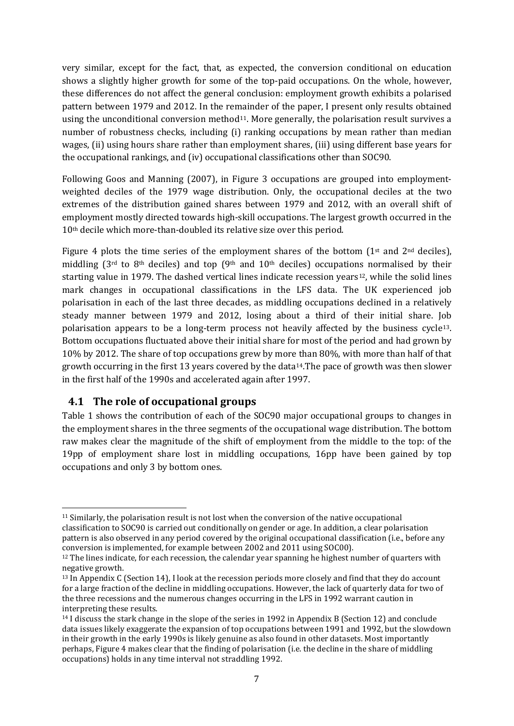very similar, except for the fact, that, as expected, the conversion conditional on education shows a slightly higher growth for some of the top-paid occupations. On the whole, however, these differences do not affect the general conclusion: employment growth exhibits a polarised pattern between 1979 and 2012. In the remainder of the paper, I present only results obtained using the unconditional conversion method<sup>11</sup>. More generally, the polarisation result survives a number of robustness checks, including (i) ranking occupations by mean rather than median wages, (ii) using hours share rather than employment shares, (iii) using different base years for the occupational rankings, and (iv) occupational classifications other than SOC90.

Following Goos and Manning (2007), in [Figure 3](#page-36-1) occupations are grouped into employmentweighted deciles of the 1979 wage distribution. Only, the occupational deciles at the two extremes of the distribution gained shares between 1979 and 2012, with an overall shift of employment mostly directed towards high-skill occupations. The largest growth occurred in the 10th decile which more-than-doubled its relative size over this period.

[Figure 4](#page-37-0) plots the time series of the employment shares of the bottom  $(1^{st}$  and  $2^{nd}$  deciles), middling ( $3<sup>rd</sup>$  to  $8<sup>th</sup>$  deciles) and top ( $9<sup>th</sup>$  and  $10<sup>th</sup>$  deciles) occupations normalised by their starting value in 1979. The dashed vertical lines indicate recession years<sup>12</sup>, while the solid lines mark changes in occupational classifications in the LFS data. The UK experienced job polarisation in each of the last three decades, as middling occupations declined in a relatively steady manner between 1979 and 2012, losing about a third of their initial share. Job polarisation appears to be a long-term process not heavily affected by the business cycle[13.](#page-8-2) Bottom occupations fluctuated above their initial share for most of the period and had grown by 10% by 2012. The share of top occupations grew by more than 80%, with more than half of that growth occurring in the first 13 years covered by the data[14](#page-8-3).The pace of growth was then slower in the first half of the 1990s and accelerated again after 1997.

#### **4.1 The role of occupational groups**

[Table 1](#page-27-0) shows the contribution of each of the SOC90 major occupational groups to changes in the employment shares in the three segments of the occupational wage distribution. The bottom raw makes clear the magnitude of the shift of employment from the middle to the top: of the 19pp of employment share lost in middling occupations, 16pp have been gained by top occupations and only 3 by bottom ones.

<span id="page-8-0"></span> <sup>11</sup> Similarly, the polarisation result is not lost when the conversion of the native occupational classification to SOC90 is carried out conditionally on gender or age. In addition, a clear polarisation pattern is also observed in any period covered by the original occupational classification (i.e., before any conversion is implemented, for example between 2002 and 2011 using SOC00).

<span id="page-8-1"></span> $12$  The lines indicate, for each recession, the calendar year spanning he highest number of quarters with negative growth.

<span id="page-8-2"></span><sup>13</sup> In Appendix C (Sectio[n 14\)](#page-45-0), I look at the recession periods more closely and find that they do account for a large fraction of the decline in middling occupations. However, the lack of quarterly data for two of the three recessions and the numerous changes occurring in the LFS in 1992 warrant caution in interpreting these results.

<span id="page-8-3"></span><sup>14</sup> I discuss the stark change in the slope of the series in 1992 in Appendix B (Sectio[n 12\)](#page-41-0) and conclude data issues likely exaggerate the expansion of top occupations between 1991 and 1992, but the slowdown in their growth in the early 1990s is likely genuine as also found in other datasets. Most importantly perhaps, [Figure 4](#page-37-0) makes clear that the finding of polarisation (i.e. the decline in the share of middling occupations) holds in any time interval not straddling 1992.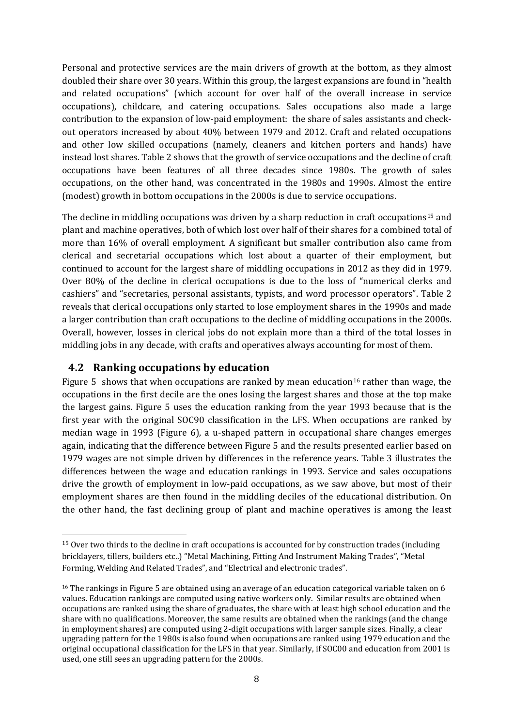Personal and protective services are the main drivers of growth at the bottom, as they almost doubled their share over 30 years. Within this group, the largest expansions are found in "health and related occupations" (which account for over half of the overall increase in service occupations), childcare, and catering occupations. Sales occupations also made a large contribution to the expansion of low-paid employment: the share of sales assistants and checkout operators increased by about 40% between 1979 and 2012. Craft and related occupations and other low skilled occupations (namely, cleaners and kitchen porters and hands) have instead lost shares. [Table 2](#page-28-0) shows that the growth of service occupations and the decline of craft occupations have been features of all three decades since 1980s. The growth of sales occupations, on the other hand, was concentrated in the 1980s and 1990s. Almost the entire (modest) growth in bottom occupations in the 2000s is due to service occupations.

The decline in middling occupations was driven by a sharp reduction in craft occupations<sup>[15](#page-9-0)</sup> and plant and machine operatives, both of which lost over half of their shares for a combined total of more than 16% of overall employment. A significant but smaller contribution also came from clerical and secretarial occupations which lost about a quarter of their employment, but continued to account for the largest share of middling occupations in 2012 as they did in 1979. Over 80% of the decline in clerical occupations is due to the loss of "numerical clerks and cashiers" and "secretaries, personal assistants, typists, and word processor operators". [Table 2](#page-28-0) reveals that clerical occupations only started to lose employment shares in the 1990s and made a larger contribution than craft occupations to the decline of middling occupations in the 2000s. Overall, however, losses in clerical jobs do not explain more than a third of the total losses in middling jobs in any decade, with crafts and operatives always accounting for most of them.

#### **4.2 Ranking occupations by education**

[Figure 5](#page-38-0) shows that when occupations are ranked by mean education<sup>[16](#page-9-1)</sup> rather than wage, the occupations in the first decile are the ones losing the largest shares and those at the top make the largest gains. [Figure 5](#page-38-0) uses the education ranking from the year 1993 because that is the first year with the original SOC90 classification in the LFS. When occupations are ranked by median wage in 1993 [\(Figure 6\)](#page-38-1), a u-shaped pattern in occupational share changes emerges again, indicating that the difference between [Figure 5](#page-38-0) and the results presented earlier based on 1979 wages are not simple driven by differences in the reference years. [Table 3](#page-29-0) illustrates the differences between the wage and education rankings in 1993. Service and sales occupations drive the growth of employment in low-paid occupations, as we saw above, but most of their employment shares are then found in the middling deciles of the educational distribution. On the other hand, the fast declining group of plant and machine operatives is among the least

<span id="page-9-0"></span> <sup>15</sup> Over two thirds to the decline in craft occupations is accounted for by construction trades (including bricklayers, tillers, builders etc..) "Metal Machining, Fitting And Instrument Making Trades", "Metal Forming, Welding And Related Trades", and "Electrical and electronic trades".

<span id="page-9-1"></span><sup>16</sup> The rankings in [Figure 5](#page-38-0) are obtained using an average of an education categorical variable taken on 6 values. Education rankings are computed using native workers only. Similar results are obtained when occupations are ranked using the share of graduates, the share with at least high school education and the share with no qualifications. Moreover, the same results are obtained when the rankings (and the change in employment shares) are computed using 2-digit occupations with larger sample sizes. Finally, a clear upgrading pattern for the 1980s is also found when occupations are ranked using 1979 education and the original occupational classification for the LFS in that year. Similarly, if SOC00 and education from 2001 is used, one still sees an upgrading pattern for the 2000s.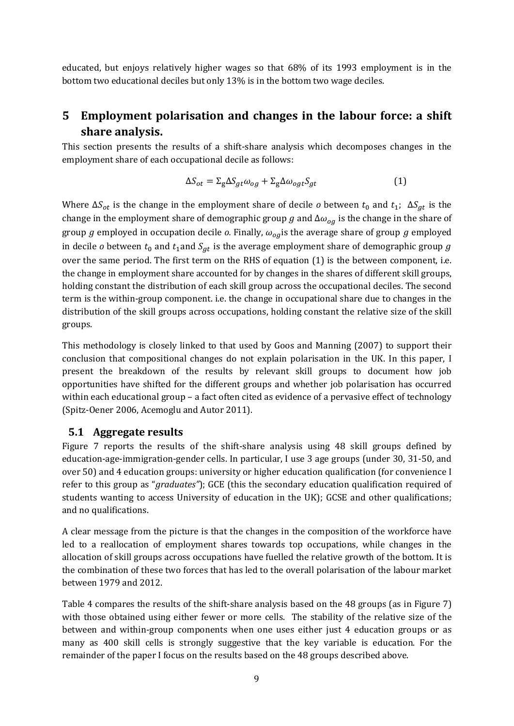educated, but enjoys relatively higher wages so that 68% of its 1993 employment is in the bottom two educational deciles but only 13% is in the bottom two wage deciles.

## <span id="page-10-0"></span>**5 Employment polarisation and changes in the labour force: a shift share analysis.**

This section presents the results of a shift-share analysis which decomposes changes in the employment share of each occupational decile as follows:

<span id="page-10-1"></span>
$$
\Delta S_{ot} = \Sigma_{g} \Delta S_{gt} \omega_{og} + \Sigma_{g} \Delta \omega_{ogt} S_{gt}
$$
 (1)

Where  $\Delta S_{ot}$  is the change in the employment share of decile *o* between  $t_0$  and  $t_1$ ;  $\Delta S_{at}$  is the change in the employment share of demographic group g and  $\Delta \omega_{og}$  is the change in the share of group g employed in occupation decile  $o$ . Finally,  $\omega_{oa}$  is the average share of group g employed in decile *o* between  $t_0$  and  $t_1$ and  $S_{gt}$  is the average employment share of demographic group g over the same period. The first term on the RHS of equation [\(1\)](#page-10-1) is the between component, i.e. the change in employment share accounted for by changes in the shares of different skill groups, holding constant the distribution of each skill group across the occupational deciles. The second term is the within-group component. i.e. the change in occupational share due to changes in the distribution of the skill groups across occupations, holding constant the relative size of the skill groups.

This methodology is closely linked to that used by Goos and Manning (2007) to support their conclusion that compositional changes do not explain polarisation in the UK. In this paper, I present the breakdown of the results by relevant skill groups to document how job opportunities have shifted for the different groups and whether job polarisation has occurred within each educational group – a fact often cited as evidence of a pervasive effect of technology (Spitz-Oener 2006, Acemoglu and Autor 2011).

#### **5.1 Aggregate results**

[Figure 7](#page-39-0) reports the results of the shift-share analysis using 48 skill groups defined by education-age-immigration-gender cells. In particular, I use 3 age groups (under 30, 31-50, and over 50) and 4 education groups: university or higher education qualification (for convenience I refer to this group as "*graduates"*); GCE (this the secondary education qualification required of students wanting to access University of education in the UK); GCSE and other qualifications; and no qualifications.

A clear message from the picture is that the changes in the composition of the workforce have led to a reallocation of employment shares towards top occupations, while changes in the allocation of skill groups across occupations have fuelled the relative growth of the bottom. It is the combination of these two forces that has led to the overall polarisation of the labour market between 1979 and 2012.

[Table 4](#page-30-0) compares the results of the shift-share analysis based on the 48 groups (as i[n Figure 7\)](#page-39-0) with those obtained using either fewer or more cells. The stability of the relative size of the between and within-group components when one uses either just 4 education groups or as many as 400 skill cells is strongly suggestive that the key variable is education. For the remainder of the paper I focus on the results based on the 48 groups described above.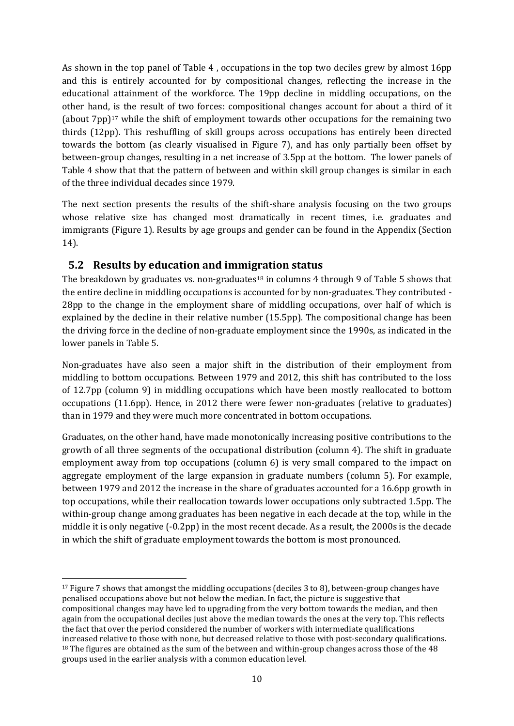As shown in the top panel of [Table 4](#page-30-0) , occupations in the top two deciles grew by almost 16pp and this is entirely accounted for by compositional changes, reflecting the increase in the educational attainment of the workforce. The 19pp decline in middling occupations, on the other hand, is the result of two forces: compositional changes account for about a third of it (about  $7$ pp)<sup>17</sup> while the shift of employment towards other occupations for the remaining two thirds (12pp). This reshuffling of skill groups across occupations has entirely been directed towards the bottom (as clearly visualised in [Figure 7\)](#page-39-0), and has only partially been offset by between-group changes, resulting in a net increase of 3.5pp at the bottom. The lower panels of [Table 4](#page-30-0) show that that the pattern of between and within skill group changes is similar in each of the three individual decades since 1979.

The next section presents the results of the shift-share analysis focusing on the two groups whose relative size has changed most dramatically in recent times, i.e. graduates and immigrants [\(Figure 1\)](#page-35-0). Results by age groups and gender can be found in the Appendix (Section [14\)](#page-45-0).

#### **5.2 Results by education and immi[gra](#page-11-1)tion status**

The breakdown by graduates vs. non-graduates<sup>18</sup> in columns 4 through 9 of [Table 5](#page-31-0) shows that the entire decline in middling occupations is accounted for by non-graduates. They contributed - 28pp to the change in the employment share of middling occupations, over half of which is explained by the decline in their relative number (15.5pp). The compositional change has been the driving force in the decline of non-graduate employment since the 1990s, as indicated in the lower panels i[n Table 5.](#page-31-0)

Non-graduates have also seen a major shift in the distribution of their employment from middling to bottom occupations. Between 1979 and 2012, this shift has contributed to the loss of 12.7pp (column 9) in middling occupations which have been mostly reallocated to bottom occupations (11.6pp). Hence, in 2012 there were fewer non-graduates (relative to graduates) than in 1979 and they were much more concentrated in bottom occupations.

Graduates, on the other hand, have made monotonically increasing positive contributions to the growth of all three segments of the occupational distribution (column 4). The shift in graduate employment away from top occupations (column 6) is very small compared to the impact on aggregate employment of the large expansion in graduate numbers (column 5). For example, between 1979 and 2012 the increase in the share of graduates accounted for a 16.6pp growth in top occupations, while their reallocation towards lower occupations only subtracted 1.5pp. The within-group change among graduates has been negative in each decade at the top, while in the middle it is only negative (-0.2pp) in the most recent decade. As a result, the 2000s is the decade in which the shift of graduate employment towards the bottom is most pronounced.

<span id="page-11-1"></span><span id="page-11-0"></span> <sup>17</sup> [Figure 7](#page-39-0) shows that amongst the middling occupations (deciles 3 to 8), between-group changes have penalised occupations above but not below the median. In fact, the picture is suggestive that compositional changes may have led to upgrading from the very bottom towards the median, and then again from the occupational deciles just above the median towards the ones at the very top. This reflects the fact that over the period considered the number of workers with intermediate qualifications increased relative to those with none, but decreased relative to those with post-secondary qualifications. <sup>18</sup> The figures are obtained as the sum of the between and within-group changes across those of the 48 groups used in the earlier analysis with a common education level.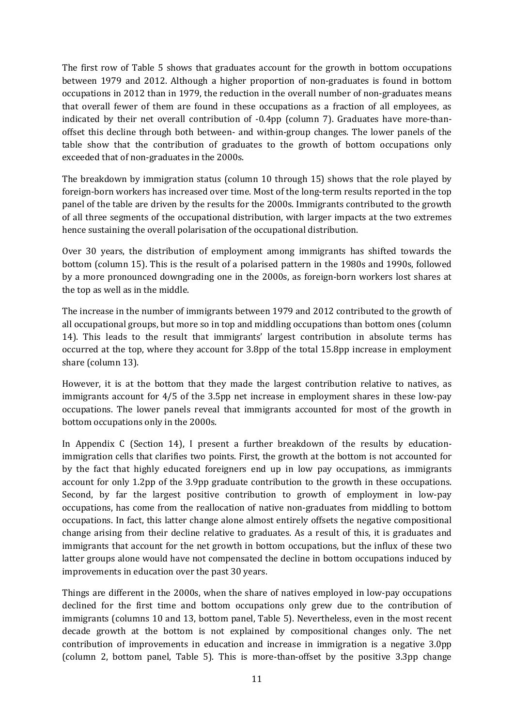The first row of [Table 5](#page-31-0) shows that graduates account for the growth in bottom occupations between 1979 and 2012. Although a higher proportion of non-graduates is found in bottom occupations in 2012 than in 1979, the reduction in the overall number of non-graduates means that overall fewer of them are found in these occupations as a fraction of all employees, as indicated by their net overall contribution of -0.4pp (column 7). Graduates have more-thanoffset this decline through both between- and within-group changes. The lower panels of the table show that the contribution of graduates to the growth of bottom occupations only exceeded that of non-graduates in the 2000s.

The breakdown by immigration status (column 10 through 15) shows that the role played by foreign-born workers has increased over time. Most of the long-term results reported in the top panel of the table are driven by the results for the 2000s. Immigrants contributed to the growth of all three segments of the occupational distribution, with larger impacts at the two extremes hence sustaining the overall polarisation of the occupational distribution.

Over 30 years, the distribution of employment among immigrants has shifted towards the bottom (column 15). This is the result of a polarised pattern in the 1980s and 1990s, followed by a more pronounced downgrading one in the 2000s, as foreign-born workers lost shares at the top as well as in the middle.

The increase in the number of immigrants between 1979 and 2012 contributed to the growth of all occupational groups, but more so in top and middling occupations than bottom ones (column 14). This leads to the result that immigrants' largest contribution in absolute terms has occurred at the top, where they account for 3.8pp of the total 15.8pp increase in employment share (column 13).

However, it is at the bottom that they made the largest contribution relative to natives, as immigrants account for 4/5 of the 3.5pp net increase in employment shares in these low-pay occupations. The lower panels reveal that immigrants accounted for most of the growth in bottom occupations only in the 2000s.

In Appendix C (Section [14\)](#page-45-0), I present a further breakdown of the results by educationimmigration cells that clarifies two points. First, the growth at the bottom is not accounted for by the fact that highly educated foreigners end up in low pay occupations, as immigrants account for only 1.2pp of the 3.9pp graduate contribution to the growth in these occupations. Second, by far the largest positive contribution to growth of employment in low-pay occupations, has come from the reallocation of native non-graduates from middling to bottom occupations. In fact, this latter change alone almost entirely offsets the negative compositional change arising from their decline relative to graduates. As a result of this, it is graduates and immigrants that account for the net growth in bottom occupations, but the influx of these two latter groups alone would have not compensated the decline in bottom occupations induced by improvements in education over the past 30 years.

Things are different in the 2000s, when the share of natives employed in low-pay occupations declined for the first time and bottom occupations only grew due to the contribution of immigrants (columns 10 and 13, bottom panel, [Table 5\)](#page-31-0). Nevertheless, even in the most recent decade growth at the bottom is not explained by compositional changes only. The net contribution of improvements in education and increase in immigration is a negative 3.0pp (column 2, bottom panel, [Table 5\)](#page-31-0). This is more-than-offset by the positive 3.3pp change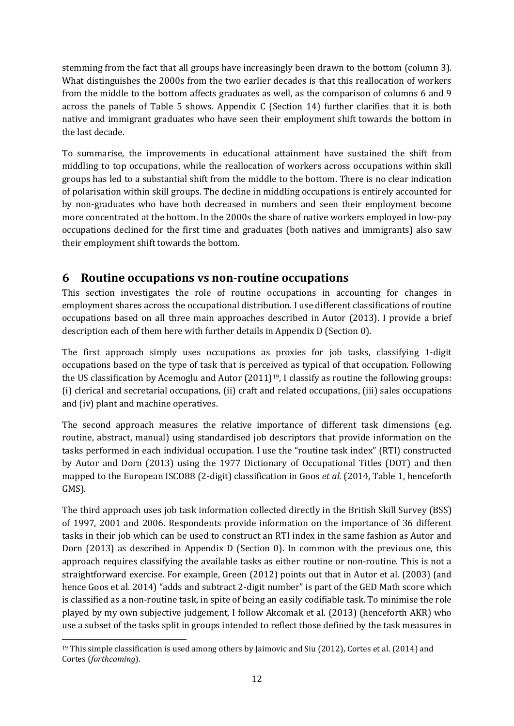stemming from the fact that all groups have increasingly been drawn to the bottom (column 3). What distinguishes the 2000s from the two earlier decades is that this reallocation of workers from the middle to the bottom affects graduates as well, as the comparison of columns 6 and 9 across the panels of [Table 5](#page-31-0) shows. Appendix C (Section [14\)](#page-45-0) further clarifies that it is both native and immigrant graduates who have seen their employment shift towards the bottom in the last decade.

To summarise, the improvements in educational attainment have sustained the shift from middling to top occupations, while the reallocation of workers across occupations within skill groups has led to a substantial shift from the middle to the bottom. There is no clear indication of polarisation within skill groups. The decline in middling occupations is entirely accounted for by non-graduates who have both decreased in numbers and seen their employment become more concentrated at the bottom. In the 2000s the share of native workers employed in low-pay occupations declined for the first time and graduates (both natives and immigrants) also saw their employment shift towards the bottom.

#### <span id="page-13-0"></span>**6 Routine occupations vs non-routine occupations**

This section investigates the role of routine occupations in accounting for changes in employment shares across the occupational distribution. I use different classifications of routine occupations based on all three main approaches described in Autor (2013). I provide a brief description each of them here with further details in Appendix D (Sectio[n 0\)](#page-51-0).

The first approach simply uses occupations as proxies for job tasks, classifying 1-digit occupations based on the type of task that is perceived as typical of that occupation. Following the US classification by Acemoglu and Autor  $(2011)^{19}$ , I classify as routine the following groups: (i) clerical and secretarial occupations, (ii) craft and related occupations, (iii) sales occupations and (iv) plant and machine operatives.

The second approach measures the relative importance of different task dimensions (e.g. routine, abstract, manual) using standardised job descriptors that provide information on the tasks performed in each individual occupation. I use the "routine task index" (RTI) constructed by Autor and Dorn (2013) using the 1977 Dictionary of Occupational Titles (DOT) and then mapped to the European ISCO88 (2-digit) classification in Goos *et al.* (2014, Table 1, henceforth GMS).

The third approach uses job task information collected directly in the British Skill Survey (BSS) of 1997, 2001 and 2006. Respondents provide information on the importance of 36 different tasks in their job which can be used to construct an RTI index in the same fashion as Autor and Dorn (2013) as described in Appendix D (Section [0\)](#page-51-0). In common with the previous one, this approach requires classifying the available tasks as either routine or non-routine. This is not a straightforward exercise. For example, Green (2012) points out that in Autor et al. (2003) (and hence Goos et al. 2014) "adds and subtract 2-digit number" is part of the GED Math score which is classified as a non-routine task, in spite of being an easily codifiable task. To minimise the role played by my own subjective judgement, I follow Akcomak et al. (2013) (henceforth AKR) who use a subset of the tasks split in groups intended to reflect those defined by the task measures in

<span id="page-13-1"></span> <sup>19</sup> This simple classification is used among others by Jaimovic and Siu (2012), Cortes et al. (2014) and Cortes (*forthcoming*).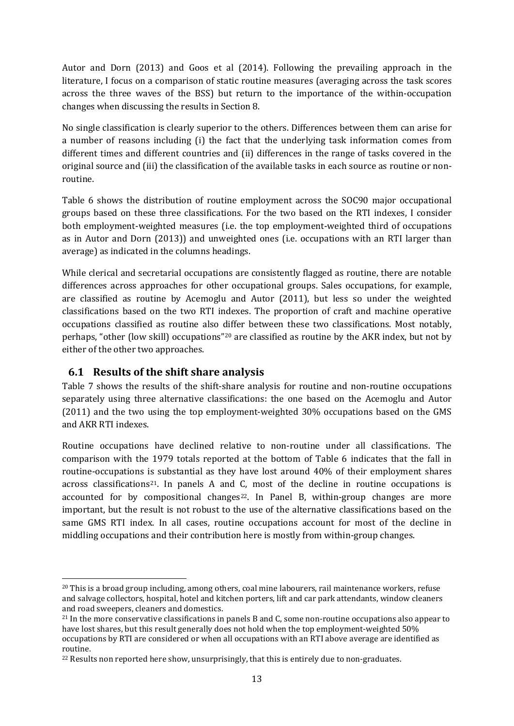Autor and Dorn (2013) and Goos et al (2014). Following the prevailing approach in the literature, I focus on a comparison of static routine measures (averaging across the task scores across the three waves of the BSS) but return to the importance of the within-occupation changes when discussing the results in Section [8.](#page-16-0)

No single classification is clearly superior to the others. Differences between them can arise for a number of reasons including (i) the fact that the underlying task information comes from different times and different countries and (ii) differences in the range of tasks covered in the original source and (iii) the classification of the available tasks in each source as routine or nonroutine.

[Table 6](#page-32-0) shows the distribution of routine employment across the SOC90 major occupational groups based on these three classifications. For the two based on the RTI indexes, I consider both employment-weighted measures (i.e. the top employment-weighted third of occupations as in Autor and Dorn (2013)) and unweighted ones (i.e. occupations with an RTI larger than average) as indicated in the columns headings.

While clerical and secretarial occupations are consistently flagged as routine, there are notable differences across approaches for other occupational groups. Sales occupations, for example, are classified as routine by Acemoglu and Autor (2011), but less so under the weighted classifications based on the two RTI indexes. The proportion of craft and machine operative occupations classified as routine also differ between these two classifications. Most notably, perhaps, "other (low skill) occupations"[20](#page-14-0) are classified as routine by the AKR index, but not by either of the other two approaches.

#### **6.1 Results of the shift share analysis**

[Table 7](#page-33-0) shows the results of the shift-share analysis for routine and non-routine occupations separately using three alternative classifications: the one based on the Acemoglu and Autor (2011) and the two using the top employment-weighted 30% occupations based on the GMS and AKR RTI indexes.

Routine occupations have declined relative to non-routine under all classifications. The comparison with the 1979 totals reported at the bottom of [Table 6](#page-32-0) indicates that the fall in routine-occupations is substantial as they have lost around 40% of their employment shares across classifications<sup>21</sup>. In panels A and C, most of the decline in routine occupations is accounted for by compositional changes<sup>22</sup>. In Panel B, within-group changes are more important, but the result is not robust to the use of the alternative classifications based on the same GMS RTI index. In all cases, routine occupations account for most of the decline in middling occupations and their contribution here is mostly from within-group changes.

<span id="page-14-0"></span> $20$  This is a broad group including, among others, coal mine labourers, rail maintenance workers, refuse and salvage collectors, hospital, hotel and kitchen porters, lift and car park attendants, window cleaners

<span id="page-14-1"></span> $21$  In the more conservative classifications in panels B and C, some non-routine occupations also appear to have lost shares, but this result generally does not hold when the top employment-weighted 50% occupations by RTI are considered or when all occupations with an RTI above average are identified as routine.

<span id="page-14-2"></span><sup>&</sup>lt;sup>22</sup> Results non reported here show, unsurprisingly, that this is entirely due to non-graduates.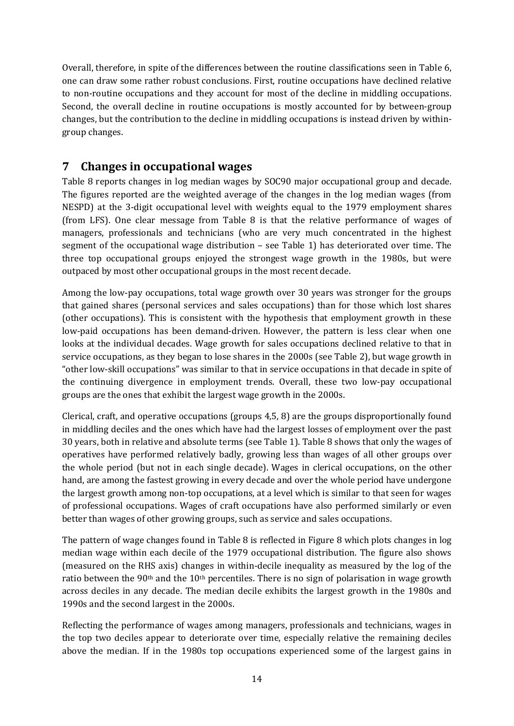Overall, therefore, in spite of the differences between the routine classifications seen in [Table 6,](#page-32-0) one can draw some rather robust conclusions. First, routine occupations have declined relative to non-routine occupations and they account for most of the decline in middling occupations. Second, the overall decline in routine occupations is mostly accounted for by between-group changes, but the contribution to the decline in middling occupations is instead driven by withingroup changes.

#### <span id="page-15-0"></span>**7 Changes in occupational wages**

[Table 8](#page-34-0) reports changes in log median wages by SOC90 major occupational group and decade. The figures reported are the weighted average of the changes in the log median wages (from NESPD) at the 3-digit occupational level with weights equal to the 1979 employment shares (from LFS). One clear message from [Table 8](#page-34-0) is that the relative performance of wages of managers, professionals and technicians (who are very much concentrated in the highest segment of the occupational wage distribution – see [Table 1\)](#page-27-0) has deteriorated over time. The three top occupational groups enjoyed the strongest wage growth in the 1980s, but were outpaced by most other occupational groups in the most recent decade.

Among the low-pay occupations, total wage growth over 30 years was stronger for the groups that gained shares (personal services and sales occupations) than for those which lost shares (other occupations). This is consistent with the hypothesis that employment growth in these low-paid occupations has been demand-driven. However, the pattern is less clear when one looks at the individual decades. Wage growth for sales occupations declined relative to that in service occupations, as they began to lose shares in the 2000s (se[e Table 2\)](#page-28-0), but wage growth in "other low-skill occupations" was similar to that in service occupations in that decade in spite of the continuing divergence in employment trends. Overall, these two low-pay occupational groups are the ones that exhibit the largest wage growth in the 2000s.

Clerical, craft, and operative occupations (groups 4,5, 8) are the groups disproportionally found in middling deciles and the ones which have had the largest losses of employment over the past 30 years, both in relative and absolute terms (see [Table 1\)](#page-27-0). [Table 8](#page-34-0) shows that only the wages of operatives have performed relatively badly, growing less than wages of all other groups over the whole period (but not in each single decade). Wages in clerical occupations, on the other hand, are among the fastest growing in every decade and over the whole period have undergone the largest growth among non-top occupations, at a level which is similar to that seen for wages of professional occupations. Wages of craft occupations have also performed similarly or even better than wages of other growing groups, such as service and sales occupations.

The pattern of wage changes found in [Table 8](#page-34-0) is reflected in [Figure 8](#page-40-0) which plots changes in log median wage within each decile of the 1979 occupational distribution. The figure also shows (measured on the RHS axis) changes in within-decile inequality as measured by the log of the ratio between the 90<sup>th</sup> and the 10<sup>th</sup> percentiles. There is no sign of polarisation in wage growth across deciles in any decade. The median decile exhibits the largest growth in the 1980s and 1990s and the second largest in the 2000s.

Reflecting the performance of wages among managers, professionals and technicians, wages in the top two deciles appear to deteriorate over time, especially relative the remaining deciles above the median. If in the 1980s top occupations experienced some of the largest gains in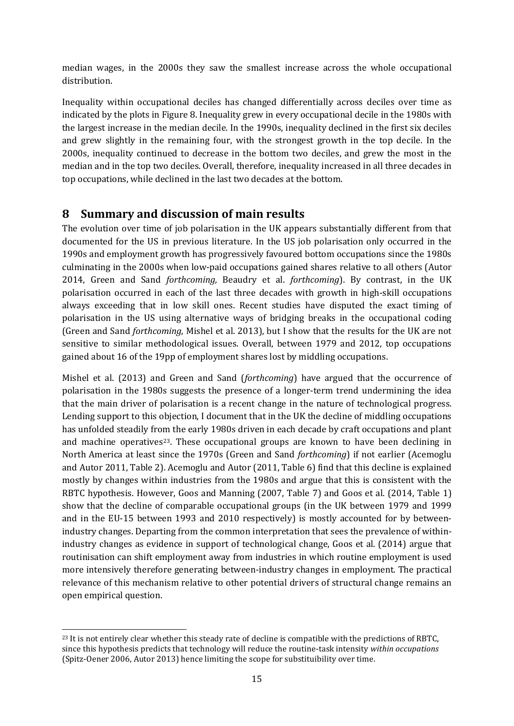median wages, in the 2000s they saw the smallest increase across the whole occupational distribution.

Inequality within occupational deciles has changed differentially across deciles over time as indicated by the plots in [Figure 8.](#page-40-0) Inequality grew in every occupational decile in the 1980s with the largest increase in the median decile. In the 1990s, inequality declined in the first six deciles and grew slightly in the remaining four, with the strongest growth in the top decile. In the 2000s, inequality continued to decrease in the bottom two deciles, and grew the most in the median and in the top two deciles. Overall, therefore, inequality increased in all three decades in top occupations, while declined in the last two decades at the bottom.

#### <span id="page-16-0"></span>**8 Summary and discussion of main results**

The evolution over time of job polarisation in the UK appears substantially different from that documented for the US in previous literature. In the US job polarisation only occurred in the 1990s and employment growth has progressively favoured bottom occupations since the 1980s culminating in the 2000s when low-paid occupations gained shares relative to all others (Autor 2014, Green and Sand *forthcoming,* Beaudry et al. *forthcoming*). By contrast, in the UK polarisation occurred in each of the last three decades with growth in high-skill occupations always exceeding that in low skill ones. Recent studies have disputed the exact timing of polarisation in the US using alternative ways of bridging breaks in the occupational coding (Green and Sand *forthcoming*, Mishel et al. 2013), but I show that the results for the UK are not sensitive to similar methodological issues. Overall, between 1979 and 2012, top occupations gained about 16 of the 19pp of employment shares lost by middling occupations.

Mishel et al. (2013) and Green and Sand (*forthcoming*) have argued that the occurrence of polarisation in the 1980s suggests the presence of a longer-term trend undermining the idea that the main driver of polarisation is a recent change in the nature of technological progress. Lending support to this objection, I document that in the UK the decline of middling occupations has unfolded steadily from the early 1980s driven in each decade by craft occupations and plant and machine operatives<sup>[23](#page-16-1)</sup>. These occupational groups are known to have been declining in North America at least since the 1970s (Green and Sand *forthcoming*) if not earlier (Acemoglu and Autor 2011, Table 2). Acemoglu and Autor (2011, Table 6) find that this decline is explained mostly by changes within industries from the 1980s and argue that this is consistent with the RBTC hypothesis. However, Goos and Manning (2007, Table 7) and Goos et al. (2014, Table 1) show that the decline of comparable occupational groups (in the UK between 1979 and 1999 and in the EU-15 between 1993 and 2010 respectively) is mostly accounted for by betweenindustry changes. Departing from the common interpretation that sees the prevalence of withinindustry changes as evidence in support of technological change, Goos et al. (2014) argue that routinisation can shift employment away from industries in which routine employment is used more intensively therefore generating between-industry changes in employment. The practical relevance of this mechanism relative to other potential drivers of structural change remains an open empirical question.

<span id="page-16-1"></span><sup>&</sup>lt;sup>23</sup> It is not entirely clear whether this steady rate of decline is compatible with the predictions of RBTC. since this hypothesis predicts that technology will reduce the routine-task intensity *within occupations* (Spitz-Oener 2006, Autor 2013) hence limiting the scope for substituibility over time.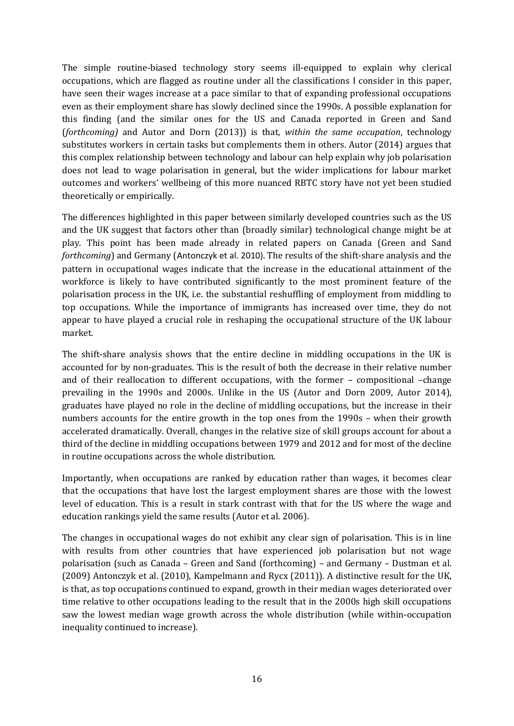The simple routine-biased technology story seems ill-equipped to explain why clerical occupations, which are flagged as routine under all the classifications I consider in this paper, have seen their wages increase at a pace similar to that of expanding professional occupations even as their employment share has slowly declined since the 1990s. A possible explanation for this finding (and the similar ones for the US and Canada reported in Green and Sand (*forthcoming)* and Autor and Dorn (2013)) is that, *within the same occupation*, technology substitutes workers in certain tasks but complements them in others. Autor (2014) argues that this complex relationship between technology and labour can help explain why job polarisation does not lead to wage polarisation in general, but the wider implications for labour market outcomes and workers' wellbeing of this more nuanced RBTC story have not yet been studied theoretically or empirically.

The differences highlighted in this paper between similarly developed countries such as the US and the UK suggest that factors other than (broadly similar) technological change might be at play. This point has been made already in related papers on Canada (Green and Sand *forthcoming*) and Germany (Antonczyk et al. 2010). The results of the shift-share analysis and the pattern in occupational wages indicate that the increase in the educational attainment of the workforce is likely to have contributed significantly to the most prominent feature of the polarisation process in the UK, i.e. the substantial reshuffling of employment from middling to top occupations. While the importance of immigrants has increased over time, they do not appear to have played a crucial role in reshaping the occupational structure of the UK labour market.

The shift-share analysis shows that the entire decline in middling occupations in the UK is accounted for by non-graduates. This is the result of both the decrease in their relative number and of their reallocation to different occupations, with the former – compositional –change prevailing in the 1990s and 2000s. Unlike in the US (Autor and Dorn 2009, Autor 2014), graduates have played no role in the decline of middling occupations, but the increase in their numbers accounts for the entire growth in the top ones from the 1990s – when their growth accelerated dramatically. Overall, changes in the relative size of skill groups account for about a third of the decline in middling occupations between 1979 and 2012 and for most of the decline in routine occupations across the whole distribution.

Importantly, when occupations are ranked by education rather than wages, it becomes clear that the occupations that have lost the largest employment shares are those with the lowest level of education. This is a result in stark contrast with that for the US where the wage and education rankings yield the same results (Autor et al. 2006).

The changes in occupational wages do not exhibit any clear sign of polarisation. This is in line with results from other countries that have experienced job polarisation but not wage polarisation (such as Canada – Green and Sand (forthcoming) – and Germany – Dustman et al. (2009) Antonczyk et al. (2010), Kampelmann and Rycx (2011)). A distinctive result for the UK, is that, as top occupations continued to expand, growth in their median wages deteriorated over time relative to other occupations leading to the result that in the 2000s high skill occupations saw the lowest median wage growth across the whole distribution (while within-occupation inequality continued to increase).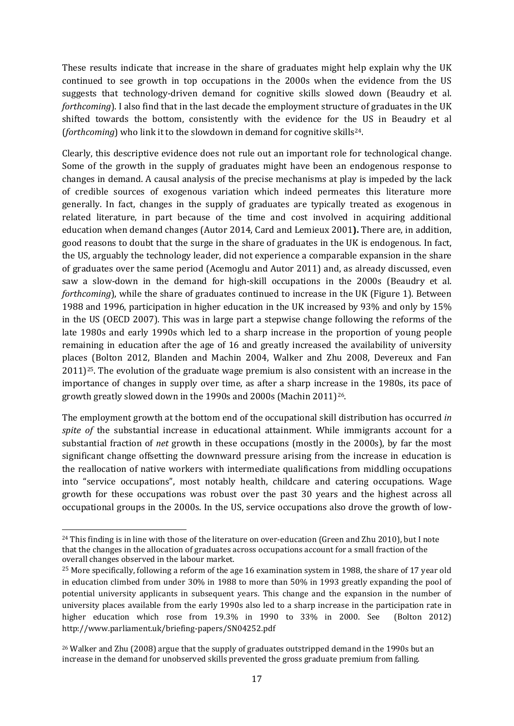These results indicate that increase in the share of graduates might help explain why the UK continued to see growth in top occupations in the 2000s when the evidence from the US suggests that technology-driven demand for cognitive skills slowed down (Beaudry et al. *forthcoming*). I also find that in the last decade the employment structure of graduates in the UK shifted towards the bottom, consistently with the evidence for the US in Beaudry et al (*forthcoming*) who link it to the slowdown in demand for cognitive skills<sup>24</sup>.

Clearly, this descriptive evidence does not rule out an important role for technological change. Some of the growth in the supply of graduates might have been an endogenous response to changes in demand. A causal analysis of the precise mechanisms at play is impeded by the lack of credible sources of exogenous variation which indeed permeates this literature more generally. In fact, changes in the supply of graduates are typically treated as exogenous in related literature, in part because of the time and cost involved in acquiring additional education when demand changes (Autor 2014, Card and Lemieux 2001**).** There are, in addition, good reasons to doubt that the surge in the share of graduates in the UK is endogenous. In fact, the US, arguably the technology leader, did not experience a comparable expansion in the share of graduates over the same period (Acemoglu and Autor 2011) and, as already discussed, even saw a slow-down in the demand for high-skill occupations in the 2000s (Beaudry et al. *forthcoming*), while the share of graduates continued to increase in the UK [\(Figure 1\)](#page-35-0). Between 1988 and 1996, participation in higher education in the UK increased by 93% and only by 15% in the US (OECD 2007). This was in large part a stepwise change following the reforms of the late 1980s and early 1990s which led to a sharp increase in the proportion of young people remaining in education after the age of 16 and greatly increased the availability of university places (Bolton 2012, Blanden and Machin 2004, Walker and Zhu 2008, Devereux and Fan 2011)[25.](#page-18-1) The evolution of the graduate wage premium is also consistent with an increase in the importance of changes in supply over time, as after a sharp increase in the 1980s, its pace of growth greatly slowed down in the 1990s and 2000s (Machin 2011)[26](#page-18-2).

The employment growth at the bottom end of the occupational skill distribution has occurred *in spite of* the substantial increase in educational attainment. While immigrants account for a substantial fraction of *net* growth in these occupations (mostly in the 2000s), by far the most significant change offsetting the downward pressure arising from the increase in education is the reallocation of native workers with intermediate qualifications from middling occupations into "service occupations", most notably health, childcare and catering occupations. Wage growth for these occupations was robust over the past 30 years and the highest across all occupational groups in the 2000s. In the US, service occupations also drove the growth of low-

<span id="page-18-0"></span> $24$  This finding is in line with those of the literature on over-education (Green and Zhu 2010), but I note that the changes in the allocation of graduates across occupations account for a small fraction of the overall changes observed in the labour market.

<span id="page-18-1"></span><sup>25</sup> More specifically, following a reform of the age 16 examination system in 1988, the share of 17 year old in education climbed from under 30% in 1988 to more than 50% in 1993 greatly expanding the pool of potential university applicants in subsequent years. This change and the expansion in the number of university places available from the early 1990s also led to a sharp increase in the participation rate in higher education which rose from 19.3% in 1990 to 33% in 2000. See (Bolton 2012) <http://www.parliament.uk/briefing-papers/SN04252.pdf>

<span id="page-18-2"></span><sup>26</sup> Walker and Zhu (2008) argue that the supply of graduates outstripped demand in the 1990s but an increase in the demand for unobserved skills prevented the gross graduate premium from falling.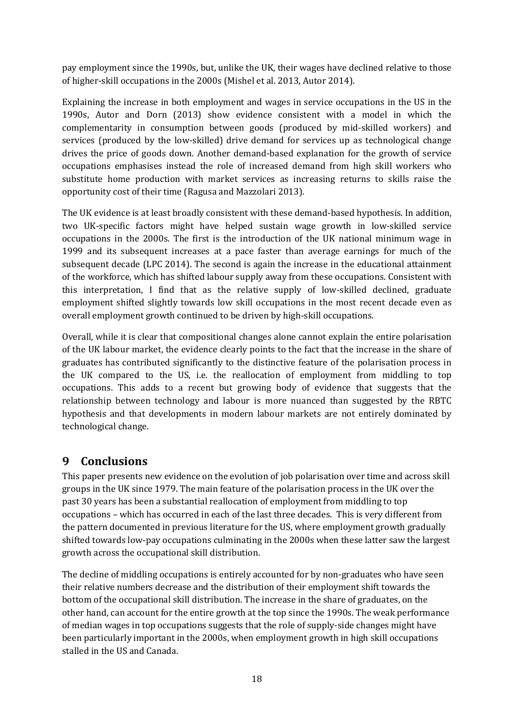pay employment since the 1990s, but, unlike the UK, their wages have declined relative to those of higher-skill occupations in the 2000s (Mishel et al. 2013, Autor 2014).

Explaining the increase in both employment and wages in service occupations in the US in the 1990s, Autor and Dorn (2013) show evidence consistent with a model in which the complementarity in consumption between goods (produced by mid-skilled workers) and services (produced by the low-skilled) drive demand for services up as technological change drives the price of goods down. Another demand-based explanation for the growth of service occupations emphasises instead the role of increased demand from high skill workers who substitute home production with market services as increasing returns to skills raise the opportunity cost of their time (Ragusa and Mazzolari 2013).

The UK evidence is at least broadly consistent with these demand-based hypothesis. In addition, two UK-specific factors might have helped sustain wage growth in low-skilled service occupations in the 2000s. The first is the introduction of the UK national minimum wage in 1999 and its subsequent increases at a pace faster than average earnings for much of the subsequent decade (LPC 2014). The second is again the increase in the educational attainment of the workforce, which has shifted labour supply away from these occupations. Consistent with this interpretation, I find that as the relative supply of low-skilled declined, graduate employment shifted slightly towards low skill occupations in the most recent decade even as overall employment growth continued to be driven by high-skill occupations.

Overall, while it is clear that compositional changes alone cannot explain the entire polarisation of the UK labour market, the evidence clearly points to the fact that the increase in the share of graduates has contributed significantly to the distinctive feature of the polarisation process in the UK compared to the US, i.e. the reallocation of employment from middling to top occupations. This adds to a recent but growing body of evidence that suggests that the relationship between technology and labour is more nuanced than suggested by the RBTC hypothesis and that developments in modern labour markets are not entirely dominated by technological change.

## <span id="page-19-0"></span>**9 Conclusions**

This paper presents new evidence on the evolution of job polarisation over time and across skill groups in the UK since 1979. The main feature of the polarisation process in the UK over the past 30 years has been a substantial reallocation of employment from middling to top occupations – which has occurred in each of the last three decades. This is very different from the pattern documented in previous literature for the US, where employment growth gradually shifted towards low-pay occupations culminating in the 2000s when these latter saw the largest growth across the occupational skill distribution.

The decline of middling occupations is entirely accounted for by non-graduates who have seen their relative numbers decrease and the distribution of their employment shift towards the bottom of the occupational skill distribution. The increase in the share of graduates, on the other hand, can account for the entire growth at the top since the 1990s. The weak performance of median wages in top occupations suggests that the role of supply-side changes might have been particularly important in the 2000s, when employment growth in high skill occupations stalled in the US and Canada.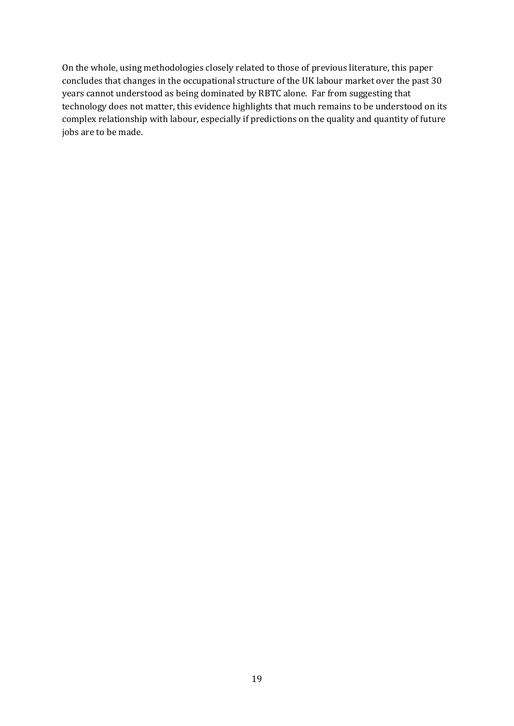On the whole, using methodologies closely related to those of previous literature, this paper concludes that changes in the occupational structure of the UK labour market over the past 30 years cannot understood as being dominated by RBTC alone. Far from suggesting that technology does not matter, this evidence highlights that much remains to be understood on its complex relationship with labour, especially if predictions on the quality and quantity of future jobs are to be made.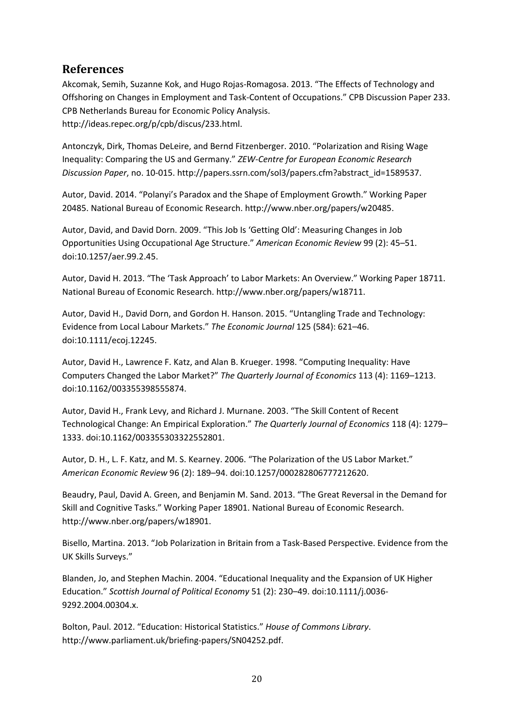#### **References**

Akcomak, Semih, Suzanne Kok, and Hugo Rojas-Romagosa. 2013. "The Effects of Technology and Offshoring on Changes in Employment and Task-Content of Occupations." CPB Discussion Paper 233. CPB Netherlands Bureau for Economic Policy Analysis. http://ideas.repec.org/p/cpb/discus/233.html.

Antonczyk, Dirk, Thomas DeLeire, and Bernd Fitzenberger. 2010. "Polarization and Rising Wage Inequality: Comparing the US and Germany." *ZEW-Centre for European Economic Research Discussion Paper*, no. 10-015. http://papers.ssrn.com/sol3/papers.cfm?abstract\_id=1589537.

Autor, David. 2014. "Polanyi's Paradox and the Shape of Employment Growth." Working Paper 20485. National Bureau of Economic Research. http://www.nber.org/papers/w20485.

Autor, David, and David Dorn. 2009. "This Job Is 'Getting Old': Measuring Changes in Job Opportunities Using Occupational Age Structure." *American Economic Review* 99 (2): 45–51. doi:10.1257/aer.99.2.45.

Autor, David H. 2013. "The 'Task Approach' to Labor Markets: An Overview." Working Paper 18711. National Bureau of Economic Research. http://www.nber.org/papers/w18711.

Autor, David H., David Dorn, and Gordon H. Hanson. 2015. "Untangling Trade and Technology: Evidence from Local Labour Markets." *The Economic Journal* 125 (584): 621–46. doi:10.1111/ecoj.12245.

Autor, David H., Lawrence F. Katz, and Alan B. Krueger. 1998. "Computing Inequality: Have Computers Changed the Labor Market?" *The Quarterly Journal of Economics* 113 (4): 1169–1213. doi:10.1162/003355398555874.

Autor, David H., Frank Levy, and Richard J. Murnane. 2003. "The Skill Content of Recent Technological Change: An Empirical Exploration." *The Quarterly Journal of Economics* 118 (4): 1279– 1333. doi:10.1162/003355303322552801.

Autor, D. H., L. F. Katz, and M. S. Kearney. 2006. "The Polarization of the US Labor Market." *American Economic Review* 96 (2): 189–94. doi:10.1257/000282806777212620.

Beaudry, Paul, David A. Green, and Benjamin M. Sand. 2013. "The Great Reversal in the Demand for Skill and Cognitive Tasks." Working Paper 18901. National Bureau of Economic Research. http://www.nber.org/papers/w18901.

Bisello, Martina. 2013. "Job Polarization in Britain from a Task-Based Perspective. Evidence from the UK Skills Surveys."

Blanden, Jo, and Stephen Machin. 2004. "Educational Inequality and the Expansion of UK Higher Education." *Scottish Journal of Political Economy* 51 (2): 230–49. doi:10.1111/j.0036- 9292.2004.00304.x.

Bolton, Paul. 2012. "Education: Historical Statistics." *House of Commons Library*. http://www.parliament.uk/briefing-papers/SN04252.pdf.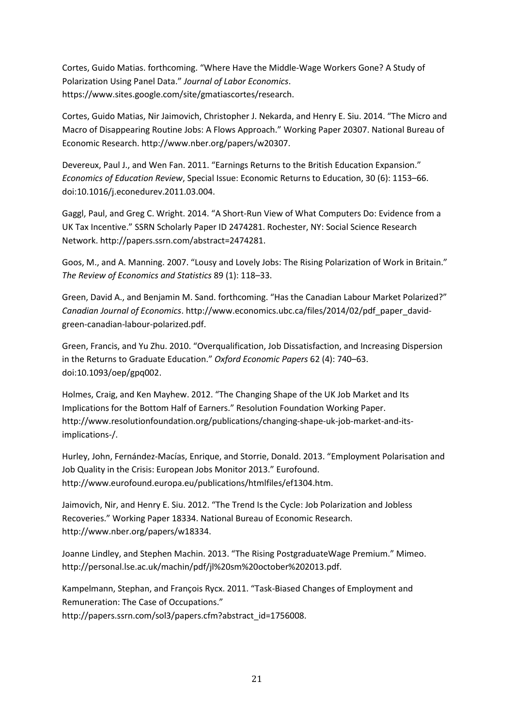Cortes, Guido Matias. forthcoming. "Where Have the Middle-Wage Workers Gone? A Study of Polarization Using Panel Data." *Journal of Labor Economics*. https://www.sites.google.com/site/gmatiascortes/research.

Cortes, Guido Matias, Nir Jaimovich, Christopher J. Nekarda, and Henry E. Siu. 2014. "The Micro and Macro of Disappearing Routine Jobs: A Flows Approach." Working Paper 20307. National Bureau of Economic Research. http://www.nber.org/papers/w20307.

Devereux, Paul J., and Wen Fan. 2011. "Earnings Returns to the British Education Expansion." *Economics of Education Review*, Special Issue: Economic Returns to Education, 30 (6): 1153–66. doi:10.1016/j.econedurev.2011.03.004.

Gaggl, Paul, and Greg C. Wright. 2014. "A Short-Run View of What Computers Do: Evidence from a UK Tax Incentive." SSRN Scholarly Paper ID 2474281. Rochester, NY: Social Science Research Network. http://papers.ssrn.com/abstract=2474281.

Goos, M., and A. Manning. 2007. "Lousy and Lovely Jobs: The Rising Polarization of Work in Britain." *The Review of Economics and Statistics* 89 (1): 118–33.

Green, David A., and Benjamin M. Sand. forthcoming. "Has the Canadian Labour Market Polarized?" *Canadian Journal of Economics*. http://www.economics.ubc.ca/files/2014/02/pdf\_paper\_davidgreen-canadian-labour-polarized.pdf.

Green, Francis, and Yu Zhu. 2010. "Overqualification, Job Dissatisfaction, and Increasing Dispersion in the Returns to Graduate Education." *Oxford Economic Papers* 62 (4): 740–63. doi:10.1093/oep/gpq002.

Holmes, Craig, and Ken Mayhew. 2012. "The Changing Shape of the UK Job Market and Its Implications for the Bottom Half of Earners." Resolution Foundation Working Paper. http://www.resolutionfoundation.org/publications/changing-shape-uk-job-market-and-itsimplications-/.

Hurley, John, Fernández-Macías, Enrique, and Storrie, Donald. 2013. "Employment Polarisation and Job Quality in the Crisis: European Jobs Monitor 2013." Eurofound. http://www.eurofound.europa.eu/publications/htmlfiles/ef1304.htm.

Jaimovich, Nir, and Henry E. Siu. 2012. "The Trend Is the Cycle: Job Polarization and Jobless Recoveries." Working Paper 18334. National Bureau of Economic Research. http://www.nber.org/papers/w18334.

Joanne Lindley, and Stephen Machin. 2013. "The Rising PostgraduateWage Premium." Mimeo. http://personal.lse.ac.uk/machin/pdf/jl%20sm%20october%202013.pdf.

Kampelmann, Stephan, and François Rycx. 2011. "Task-Biased Changes of Employment and Remuneration: The Case of Occupations."

http://papers.ssrn.com/sol3/papers.cfm?abstract\_id=1756008.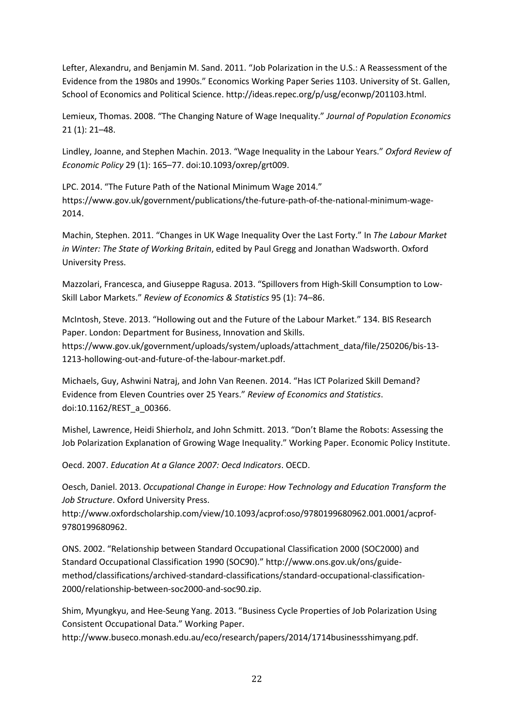Lefter, Alexandru, and Benjamin M. Sand. 2011. "Job Polarization in the U.S.: A Reassessment of the Evidence from the 1980s and 1990s." Economics Working Paper Series 1103. University of St. Gallen, School of Economics and Political Science. http://ideas.repec.org/p/usg/econwp/201103.html.

Lemieux, Thomas. 2008. "The Changing Nature of Wage Inequality." *Journal of Population Economics* 21 (1): 21–48.

Lindley, Joanne, and Stephen Machin. 2013. "Wage Inequality in the Labour Years." *Oxford Review of Economic Policy* 29 (1): 165–77. doi:10.1093/oxrep/grt009.

LPC. 2014. "The Future Path of the National Minimum Wage 2014." https://www.gov.uk/government/publications/the-future-path-of-the-national-minimum-wage-2014.

Machin, Stephen. 2011. "Changes in UK Wage Inequality Over the Last Forty." In *The Labour Market in Winter: The State of Working Britain*, edited by Paul Gregg and Jonathan Wadsworth. Oxford University Press.

Mazzolari, Francesca, and Giuseppe Ragusa. 2013. "Spillovers from High-Skill Consumption to Low-Skill Labor Markets." *Review of Economics & Statistics* 95 (1): 74–86.

McIntosh, Steve. 2013. "Hollowing out and the Future of the Labour Market." 134. BIS Research Paper. London: Department for Business, Innovation and Skills. https://www.gov.uk/government/uploads/system/uploads/attachment\_data/file/250206/bis-13- 1213-hollowing-out-and-future-of-the-labour-market.pdf.

Michaels, Guy, Ashwini Natraj, and John Van Reenen. 2014. "Has ICT Polarized Skill Demand? Evidence from Eleven Countries over 25 Years." *Review of Economics and Statistics*. doi:10.1162/REST\_a\_00366.

Mishel, Lawrence, Heidi Shierholz, and John Schmitt. 2013. "Don't Blame the Robots: Assessing the Job Polarization Explanation of Growing Wage Inequality." Working Paper. Economic Policy Institute.

Oecd. 2007. *Education At a Glance 2007: Oecd Indicators*. OECD.

Oesch, Daniel. 2013. *Occupational Change in Europe: How Technology and Education Transform the Job Structure*. Oxford University Press.

http://www.oxfordscholarship.com/view/10.1093/acprof:oso/9780199680962.001.0001/acprof-9780199680962.

ONS. 2002. "Relationship between Standard Occupational Classification 2000 (SOC2000) and Standard Occupational Classification 1990 (SOC90)." http://www.ons.gov.uk/ons/guidemethod/classifications/archived-standard-classifications/standard-occupational-classification-2000/relationship-between-soc2000-and-soc90.zip.

Shim, Myungkyu, and Hee-Seung Yang. 2013. "Business Cycle Properties of Job Polarization Using Consistent Occupational Data." Working Paper.

http://www.buseco.monash.edu.au/eco/research/papers/2014/1714businessshimyang.pdf.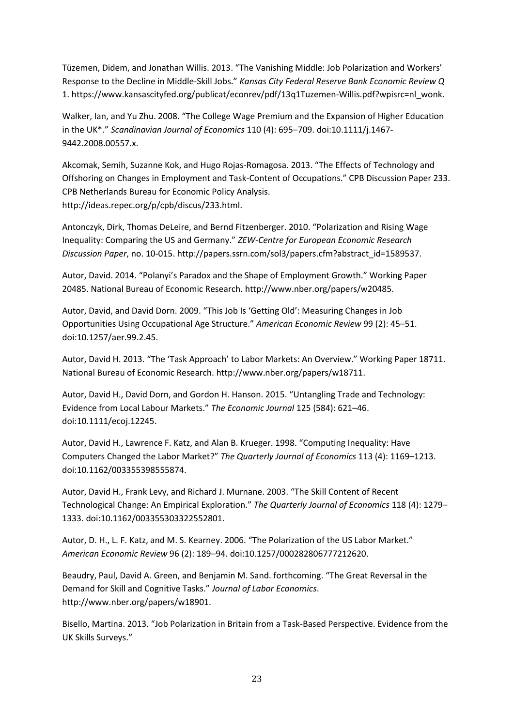Tüzemen, Didem, and Jonathan Willis. 2013. "The Vanishing Middle: Job Polarization and Workers' Response to the Decline in Middle-Skill Jobs." *Kansas City Federal Reserve Bank Economic Review Q* 1. https://www.kansascityfed.org/publicat/econrev/pdf/13q1Tuzemen-Willis.pdf?wpisrc=nl\_wonk.

Walker, Ian, and Yu Zhu. 2008. "The College Wage Premium and the Expansion of Higher Education in the UK\*." *Scandinavian Journal of Economics* 110 (4): 695–709. doi:10.1111/j.1467- 9442.2008.00557.x.

Akcomak, Semih, Suzanne Kok, and Hugo Rojas-Romagosa. 2013. "The Effects of Technology and Offshoring on Changes in Employment and Task-Content of Occupations." CPB Discussion Paper 233. CPB Netherlands Bureau for Economic Policy Analysis. http://ideas.repec.org/p/cpb/discus/233.html.

Antonczyk, Dirk, Thomas DeLeire, and Bernd Fitzenberger. 2010. "Polarization and Rising Wage Inequality: Comparing the US and Germany." *ZEW-Centre for European Economic Research Discussion Paper*, no. 10-015. http://papers.ssrn.com/sol3/papers.cfm?abstract\_id=1589537.

Autor, David. 2014. "Polanyi's Paradox and the Shape of Employment Growth." Working Paper 20485. National Bureau of Economic Research. http://www.nber.org/papers/w20485.

Autor, David, and David Dorn. 2009. "This Job Is 'Getting Old': Measuring Changes in Job Opportunities Using Occupational Age Structure." *American Economic Review* 99 (2): 45–51. doi:10.1257/aer.99.2.45.

Autor, David H. 2013. "The 'Task Approach' to Labor Markets: An Overview." Working Paper 18711. National Bureau of Economic Research. http://www.nber.org/papers/w18711.

Autor, David H., David Dorn, and Gordon H. Hanson. 2015. "Untangling Trade and Technology: Evidence from Local Labour Markets." *The Economic Journal* 125 (584): 621–46. doi:10.1111/ecoj.12245.

Autor, David H., Lawrence F. Katz, and Alan B. Krueger. 1998. "Computing Inequality: Have Computers Changed the Labor Market?" *The Quarterly Journal of Economics* 113 (4): 1169–1213. doi:10.1162/003355398555874.

Autor, David H., Frank Levy, and Richard J. Murnane. 2003. "The Skill Content of Recent Technological Change: An Empirical Exploration." *The Quarterly Journal of Economics* 118 (4): 1279– 1333. doi:10.1162/003355303322552801.

Autor, D. H., L. F. Katz, and M. S. Kearney. 2006. "The Polarization of the US Labor Market." *American Economic Review* 96 (2): 189–94. doi:10.1257/000282806777212620.

Beaudry, Paul, David A. Green, and Benjamin M. Sand. forthcoming. "The Great Reversal in the Demand for Skill and Cognitive Tasks." *Journal of Labor Economics*. http://www.nber.org/papers/w18901.

Bisello, Martina. 2013. "Job Polarization in Britain from a Task-Based Perspective. Evidence from the UK Skills Surveys."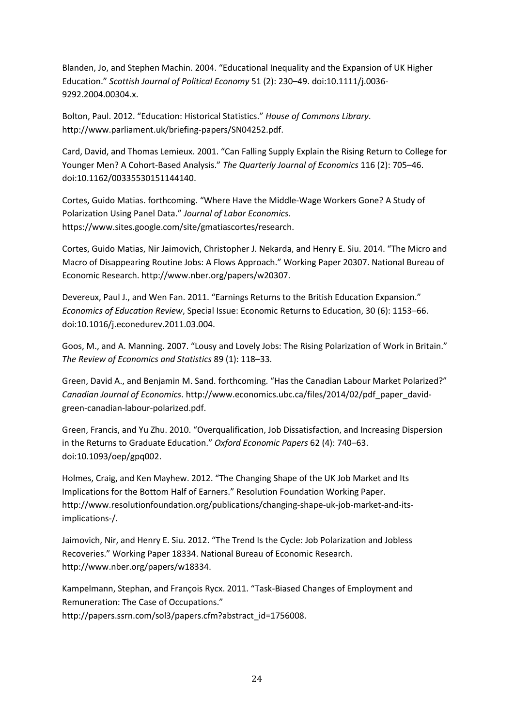Blanden, Jo, and Stephen Machin. 2004. "Educational Inequality and the Expansion of UK Higher Education." *Scottish Journal of Political Economy* 51 (2): 230–49. doi:10.1111/j.0036- 9292.2004.00304.x.

Bolton, Paul. 2012. "Education: Historical Statistics." *House of Commons Library*. http://www.parliament.uk/briefing-papers/SN04252.pdf.

Card, David, and Thomas Lemieux. 2001. "Can Falling Supply Explain the Rising Return to College for Younger Men? A Cohort-Based Analysis." *The Quarterly Journal of Economics* 116 (2): 705–46. doi:10.1162/00335530151144140.

Cortes, Guido Matias. forthcoming. "Where Have the Middle-Wage Workers Gone? A Study of Polarization Using Panel Data." *Journal of Labor Economics*. https://www.sites.google.com/site/gmatiascortes/research.

Cortes, Guido Matias, Nir Jaimovich, Christopher J. Nekarda, and Henry E. Siu. 2014. "The Micro and Macro of Disappearing Routine Jobs: A Flows Approach." Working Paper 20307. National Bureau of Economic Research. http://www.nber.org/papers/w20307.

Devereux, Paul J., and Wen Fan. 2011. "Earnings Returns to the British Education Expansion." *Economics of Education Review*, Special Issue: Economic Returns to Education, 30 (6): 1153–66. doi:10.1016/j.econedurev.2011.03.004.

Goos, M., and A. Manning. 2007. "Lousy and Lovely Jobs: The Rising Polarization of Work in Britain." *The Review of Economics and Statistics* 89 (1): 118–33.

Green, David A., and Benjamin M. Sand. forthcoming. "Has the Canadian Labour Market Polarized?" *Canadian Journal of Economics*. http://www.economics.ubc.ca/files/2014/02/pdf\_paper\_davidgreen-canadian-labour-polarized.pdf.

Green, Francis, and Yu Zhu. 2010. "Overqualification, Job Dissatisfaction, and Increasing Dispersion in the Returns to Graduate Education." *Oxford Economic Papers* 62 (4): 740–63. doi:10.1093/oep/gpq002.

Holmes, Craig, and Ken Mayhew. 2012. "The Changing Shape of the UK Job Market and Its Implications for the Bottom Half of Earners." Resolution Foundation Working Paper. http://www.resolutionfoundation.org/publications/changing-shape-uk-job-market-and-itsimplications-/.

Jaimovich, Nir, and Henry E. Siu. 2012. "The Trend Is the Cycle: Job Polarization and Jobless Recoveries." Working Paper 18334. National Bureau of Economic Research. http://www.nber.org/papers/w18334.

Kampelmann, Stephan, and François Rycx. 2011. "Task-Biased Changes of Employment and Remuneration: The Case of Occupations." http://papers.ssrn.com/sol3/papers.cfm?abstract\_id=1756008.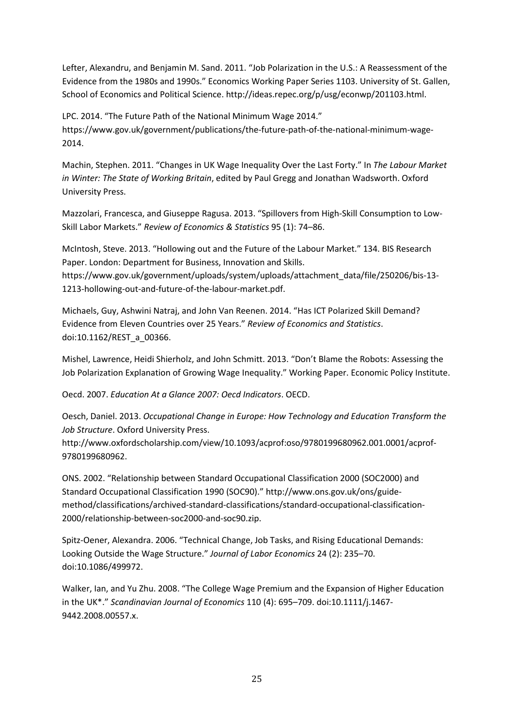Lefter, Alexandru, and Benjamin M. Sand. 2011. "Job Polarization in the U.S.: A Reassessment of the Evidence from the 1980s and 1990s." Economics Working Paper Series 1103. University of St. Gallen, School of Economics and Political Science. http://ideas.repec.org/p/usg/econwp/201103.html.

LPC. 2014. "The Future Path of the National Minimum Wage 2014." https://www.gov.uk/government/publications/the-future-path-of-the-national-minimum-wage-2014.

Machin, Stephen. 2011. "Changes in UK Wage Inequality Over the Last Forty." In *The Labour Market in Winter: The State of Working Britain*, edited by Paul Gregg and Jonathan Wadsworth. Oxford University Press.

Mazzolari, Francesca, and Giuseppe Ragusa. 2013. "Spillovers from High-Skill Consumption to Low-Skill Labor Markets." *Review of Economics & Statistics* 95 (1): 74–86.

McIntosh, Steve. 2013. "Hollowing out and the Future of the Labour Market." 134. BIS Research Paper. London: Department for Business, Innovation and Skills. https://www.gov.uk/government/uploads/system/uploads/attachment\_data/file/250206/bis-13- 1213-hollowing-out-and-future-of-the-labour-market.pdf.

Michaels, Guy, Ashwini Natraj, and John Van Reenen. 2014. "Has ICT Polarized Skill Demand? Evidence from Eleven Countries over 25 Years." *Review of Economics and Statistics*. doi:10.1162/REST\_a\_00366.

Mishel, Lawrence, Heidi Shierholz, and John Schmitt. 2013. "Don't Blame the Robots: Assessing the Job Polarization Explanation of Growing Wage Inequality." Working Paper. Economic Policy Institute.

Oecd. 2007. *Education At a Glance 2007: Oecd Indicators*. OECD.

Oesch, Daniel. 2013. *Occupational Change in Europe: How Technology and Education Transform the Job Structure*. Oxford University Press.

http://www.oxfordscholarship.com/view/10.1093/acprof:oso/9780199680962.001.0001/acprof-9780199680962.

ONS. 2002. "Relationship between Standard Occupational Classification 2000 (SOC2000) and Standard Occupational Classification 1990 (SOC90)." http://www.ons.gov.uk/ons/guidemethod/classifications/archived-standard-classifications/standard-occupational-classification-2000/relationship-between-soc2000-and-soc90.zip.

Spitz-Oener, Alexandra. 2006. "Technical Change, Job Tasks, and Rising Educational Demands: Looking Outside the Wage Structure." *Journal of Labor Economics* 24 (2): 235–70. doi:10.1086/499972.

Walker, Ian, and Yu Zhu. 2008. "The College Wage Premium and the Expansion of Higher Education in the UK\*." *Scandinavian Journal of Economics* 110 (4): 695–709. doi:10.1111/j.1467- 9442.2008.00557.x.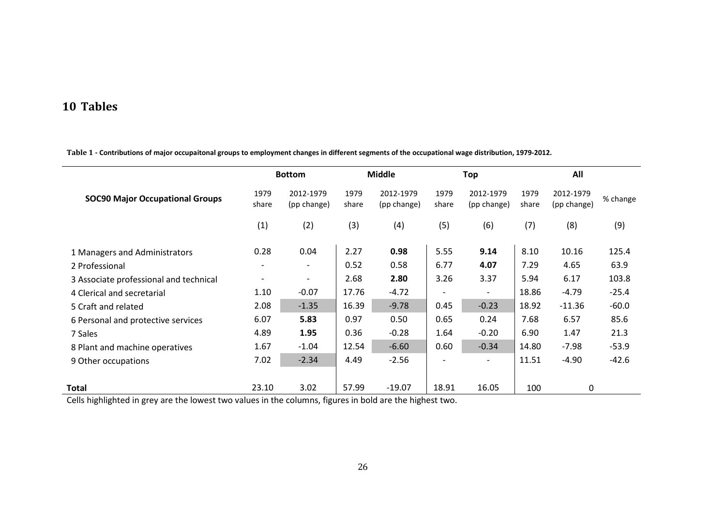## **10 Tables**

|                                        |                          | <b>Bottom</b>            |               | <b>Middle</b>            |               | Top                      |               | All                      |          |
|----------------------------------------|--------------------------|--------------------------|---------------|--------------------------|---------------|--------------------------|---------------|--------------------------|----------|
| <b>SOC90 Major Occupational Groups</b> | 1979<br>share            | 2012-1979<br>(pp change) | 1979<br>share | 2012-1979<br>(pp change) | 1979<br>share | 2012-1979<br>(pp change) | 1979<br>share | 2012-1979<br>(pp change) | % change |
|                                        | (1)                      | (2)                      | (3)           | (4)                      | (5)           | (6)                      | (7)           | (8)                      | (9)      |
| 1 Managers and Administrators          | 0.28                     | 0.04                     | 2.27          | 0.98                     | 5.55          | 9.14                     | 8.10          | 10.16                    | 125.4    |
| 2 Professional                         | $\overline{\phantom{a}}$ | $\overline{\phantom{a}}$ | 0.52          | 0.58                     | 6.77          | 4.07                     | 7.29          | 4.65                     | 63.9     |
| 3 Associate professional and technical |                          | $\overline{\phantom{a}}$ | 2.68          | 2.80                     | 3.26          | 3.37                     | 5.94          | 6.17                     | 103.8    |
| 4 Clerical and secretarial             | 1.10                     | $-0.07$                  | 17.76         | $-4.72$                  |               | $\overline{\phantom{a}}$ | 18.86         | $-4.79$                  | $-25.4$  |
| 5 Craft and related                    | 2.08                     | $-1.35$                  | 16.39         | $-9.78$                  | 0.45          | $-0.23$                  | 18.92         | $-11.36$                 | $-60.0$  |
| 6 Personal and protective services     | 6.07                     | 5.83                     | 0.97          | 0.50                     | 0.65          | 0.24                     | 7.68          | 6.57                     | 85.6     |
| 7 Sales                                | 4.89                     | 1.95                     | 0.36          | $-0.28$                  | 1.64          | $-0.20$                  | 6.90          | 1.47                     | 21.3     |
| 8 Plant and machine operatives         | 1.67                     | $-1.04$                  | 12.54         | $-6.60$                  | 0.60          | $-0.34$                  | 14.80         | $-7.98$                  | $-53.9$  |
| 9 Other occupations                    | 7.02                     | $-2.34$                  | 4.49          | $-2.56$                  |               | $\overline{\phantom{a}}$ | 11.51         | $-4.90$                  | $-42.6$  |
| <b>Total</b>                           | 23.10                    | 3.02                     | 57.99         | $-19.07$                 | 18.91         | 16.05                    | 100           | 0                        |          |

**Table 1 - Contributions of major occupaitonal groups to employment changes in different segments of the occupational wage distribution, 1979-2012.**

<span id="page-27-0"></span>Cells highlighted in grey are the lowest two values in the columns, figures in bold are the highest two.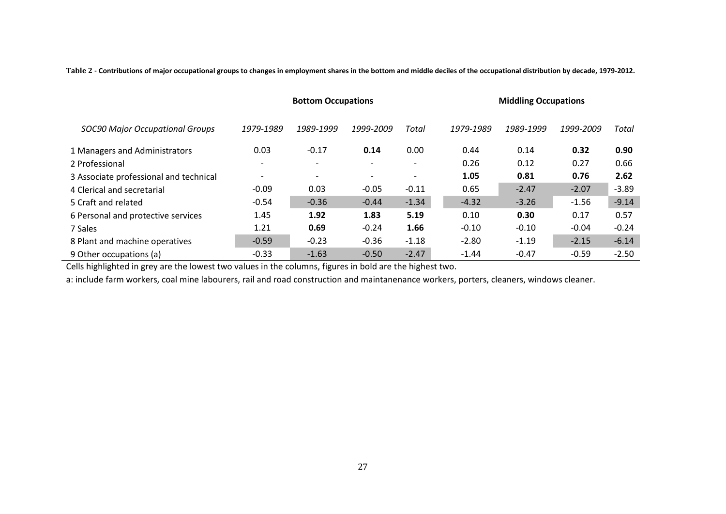**Table 2 - Contributions of major occupational groups to changes in employment shares in the bottom and middle deciles of the occupational distribution by decade, 1979-2012.**

|                                        |                          | <b>Bottom Occupations</b> |           |                          | <b>Middling Occupations</b> |           |           |         |  |
|----------------------------------------|--------------------------|---------------------------|-----------|--------------------------|-----------------------------|-----------|-----------|---------|--|
| <b>SOC90 Major Occupational Groups</b> | 1979-1989                | 1989-1999                 | 1999-2009 | Total                    | 1979-1989                   | 1989-1999 | 1999-2009 | Total   |  |
| 1 Managers and Administrators          | 0.03                     | $-0.17$                   | 0.14      | 0.00                     | 0.44                        | 0.14      | 0.32      | 0.90    |  |
| 2 Professional                         | $\overline{\phantom{a}}$ | $\overline{\phantom{a}}$  |           | $\overline{\phantom{a}}$ | 0.26                        | 0.12      | 0.27      | 0.66    |  |
| 3 Associate professional and technical | $\overline{\phantom{0}}$ | $\overline{\phantom{a}}$  |           | $\overline{\phantom{a}}$ | 1.05                        | 0.81      | 0.76      | 2.62    |  |
| 4 Clerical and secretarial             | $-0.09$                  | 0.03                      | $-0.05$   | $-0.11$                  | 0.65                        | $-2.47$   | $-2.07$   | $-3.89$ |  |
| 5 Craft and related                    | $-0.54$                  | $-0.36$                   | $-0.44$   | $-1.34$                  | $-4.32$                     | $-3.26$   | $-1.56$   | $-9.14$ |  |
| 6 Personal and protective services     | 1.45                     | 1.92                      | 1.83      | 5.19                     | 0.10                        | 0.30      | 0.17      | 0.57    |  |
| 7 Sales                                | 1.21                     | 0.69                      | $-0.24$   | 1.66                     | $-0.10$                     | $-0.10$   | $-0.04$   | $-0.24$ |  |
| 8 Plant and machine operatives         | $-0.59$                  | $-0.23$                   | $-0.36$   | $-1.18$                  | $-2.80$                     | $-1.19$   | $-2.15$   | $-6.14$ |  |
| 9 Other occupations (a)                | $-0.33$                  | $-1.63$                   | $-0.50$   | $-2.47$                  | $-1.44$                     | $-0.47$   | $-0.59$   | $-2.50$ |  |

Cells highlighted in grey are the lowest two values in the columns, figures in bold are the highest two.

<span id="page-28-0"></span>a: include farm workers, coal mine labourers, rail and road construction and maintanenance workers, porters, cleaners, windows cleaner.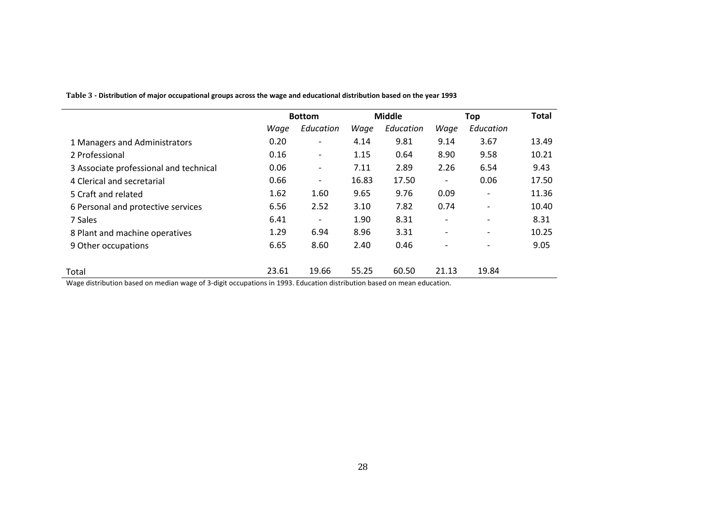|                                        |       | <b>Bottom</b>                |       | <b>Middle</b> |                              | Top                      | <b>Total</b> |
|----------------------------------------|-------|------------------------------|-------|---------------|------------------------------|--------------------------|--------------|
|                                        | Wage  | Education                    | Wage  | Education     | Wage                         | Education                |              |
| 1 Managers and Administrators          | 0.20  | $\overline{\phantom{a}}$     | 4.14  | 9.81          | 9.14                         | 3.67                     | 13.49        |
| 2 Professional                         | 0.16  | $\overline{\phantom{a}}$     | 1.15  | 0.64          | 8.90                         | 9.58                     | 10.21        |
| 3 Associate professional and technical | 0.06  | $\qquad \qquad \blacksquare$ | 7.11  | 2.89          | 2.26                         | 6.54                     | 9.43         |
| 4 Clerical and secretarial             | 0.66  | $\overline{\phantom{a}}$     | 16.83 | 17.50         | $\overline{\phantom{a}}$     | 0.06                     | 17.50        |
| 5 Craft and related                    | 1.62  | 1.60                         | 9.65  | 9.76          | 0.09                         | $\overline{\phantom{a}}$ | 11.36        |
| 6 Personal and protective services     | 6.56  | 2.52                         | 3.10  | 7.82          | 0.74                         | $\overline{\phantom{a}}$ | 10.40        |
| 7 Sales                                | 6.41  | $\overline{\phantom{a}}$     | 1.90  | 8.31          | $\qquad \qquad \blacksquare$ | $\overline{\phantom{a}}$ | 8.31         |
| 8 Plant and machine operatives         | 1.29  | 6.94                         | 8.96  | 3.31          | $\overline{\phantom{a}}$     | $\overline{\phantom{a}}$ | 10.25        |
| 9 Other occupations                    | 6.65  | 8.60                         | 2.40  | 0.46          | $\overline{\phantom{0}}$     | $\overline{\phantom{a}}$ | 9.05         |
| Total                                  | 23.61 | 19.66                        | 55.25 | 60.50         | 21.13                        | 19.84                    |              |

**Table 3 - Distribution of major occupational groups across the wage and educational distribution based on the year 1993**

<span id="page-29-0"></span>Wage distribution based on median wage of 3-digit occupations in 1993. Education distribution based on mean education.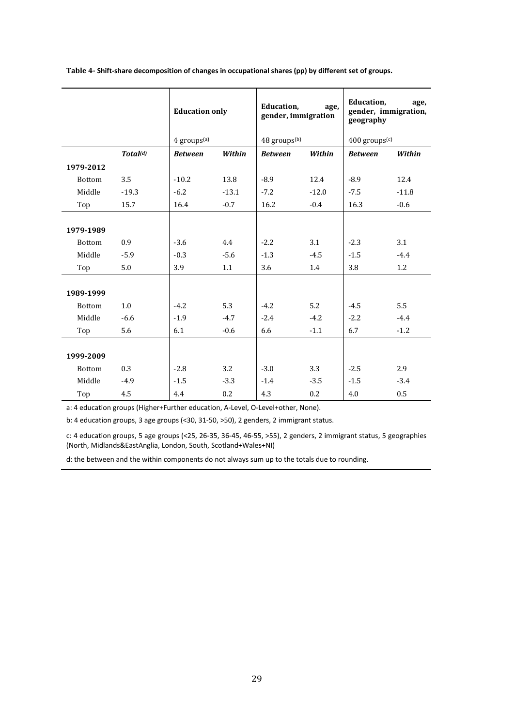<span id="page-30-0"></span>

| Table 4- Shift-share decomposition of changes in occupational shares (pp) by different set of groups. |  |  |  |
|-------------------------------------------------------------------------------------------------------|--|--|--|
|                                                                                                       |  |  |  |

|               |                      | <b>Education only</b>   |         | Education,<br>gender, immigration | age,    | Education,<br>gender, immigration,<br>geography | age,    |
|---------------|----------------------|-------------------------|---------|-----------------------------------|---------|-------------------------------------------------|---------|
|               |                      | 4 groups <sup>(a)</sup> |         | 48 groups <sup>(b)</sup>          |         | $400$ groups $(c)$                              |         |
|               | Total <sup>(d)</sup> | <b>Between</b>          | Within  | <b>Between</b>                    | Within  | <b>Between</b>                                  | Within  |
| 1979-2012     |                      |                         |         |                                   |         |                                                 |         |
| <b>Bottom</b> | 3.5                  | $-10.2$                 | 13.8    | $-8.9$                            | 12.4    | $-8.9$                                          | 12.4    |
| Middle        | $-19.3$              | $-6.2$                  | $-13.1$ | $-7.2$                            | $-12.0$ | $-7.5$                                          | $-11.8$ |
| Top           | 15.7                 | 16.4                    | $-0.7$  | 16.2                              | $-0.4$  | 16.3                                            | $-0.6$  |
|               |                      |                         |         |                                   |         |                                                 |         |
| 1979-1989     |                      |                         |         |                                   |         |                                                 |         |
| <b>Bottom</b> | 0.9                  | $-3.6$                  | 4.4     | $-2.2$                            | 3.1     | $-2.3$                                          | 3.1     |
| Middle        | $-5.9$               | $-0.3$                  | $-5.6$  | $-1.3$                            | $-4.5$  | $-1.5$                                          | $-4.4$  |
| Top           | 5.0                  | 3.9                     | 1.1     | 3.6                               | 1.4     | 3.8                                             | 1.2     |
|               |                      |                         |         |                                   |         |                                                 |         |
| 1989-1999     |                      |                         |         |                                   |         |                                                 |         |
| <b>Bottom</b> | 1.0                  | $-4.2$                  | 5.3     | $-4.2$                            | 5.2     | $-4.5$                                          | 5.5     |
| Middle        | $-6.6$               | $-1.9$                  | $-4.7$  | $-2.4$                            | $-4.2$  | $-2.2$                                          | $-4.4$  |
| Top           | 5.6                  | 6.1                     | $-0.6$  | 6.6                               | $-1.1$  | 6.7                                             | $-1.2$  |
|               |                      |                         |         |                                   |         |                                                 |         |
| 1999-2009     |                      |                         |         |                                   |         |                                                 |         |
| <b>Bottom</b> | 0.3                  | $-2.8$                  | 3.2     | $-3.0$                            | 3.3     | $-2.5$                                          | 2.9     |
| Middle        | $-4.9$               | $-1.5$                  | $-3.3$  | $-1.4$                            | $-3.5$  | $-1.5$                                          | $-3.4$  |
| Top           | 4.5                  | 4.4                     | 0.2     | 4.3                               | 0.2     | 4.0                                             | 0.5     |

a: 4 education groups (Higher+Further education, A-Level, O-Level+other, None).

b: 4 education groups, 3 age groups (<30, 31-50, >50), 2 genders, 2 immigrant status.

c: 4 education groups, 5 age groups (<25, 26-35, 36-45, 46-55, >55), 2 genders, 2 immigrant status, 5 geographies (North, Midlands&EastAnglia, London, South, Scotland+Wales+NI)

d: the between and the within components do not always sum up to the totals due to rounding.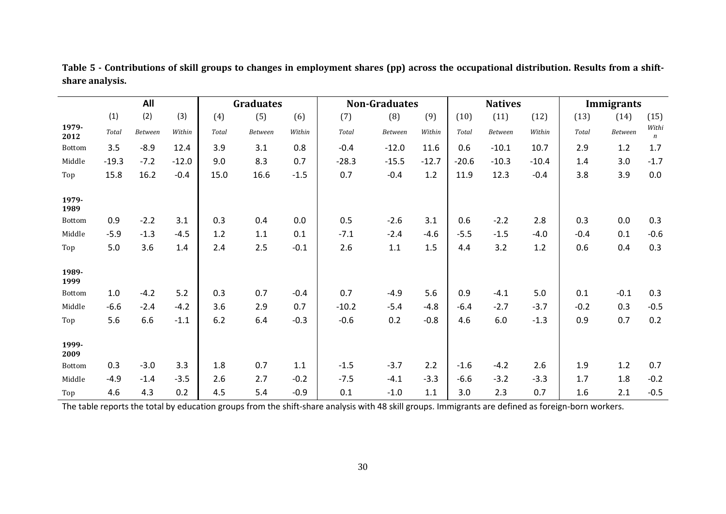|               |              | All     |         |       | <b>Graduates</b> |        | <b>Non-Graduates</b> |         |         |         | <b>Natives</b> |         |        | Immigrants     |                           |
|---------------|--------------|---------|---------|-------|------------------|--------|----------------------|---------|---------|---------|----------------|---------|--------|----------------|---------------------------|
|               | (1)          | (2)     | (3)     | (4)   | (5)              | (6)    | (7)                  | (8)     | (9)     | (10)    | (11)           | (12)    | (13)   | (14)           | (15)                      |
| 1979-<br>2012 | <b>Total</b> | Between | Within  | Total | <b>Between</b>   | Within | Total                | Between | Within  | Total   | Between        | Within  | Total  | <b>Between</b> | Withi<br>$\boldsymbol{n}$ |
| Bottom        | 3.5          | $-8.9$  | 12.4    | 3.9   | 3.1              | 0.8    | $-0.4$               | $-12.0$ | 11.6    | 0.6     | $-10.1$        | 10.7    | 2.9    | 1.2            | 1.7                       |
| Middle        | $-19.3$      | $-7.2$  | $-12.0$ | 9.0   | 8.3              | 0.7    | $-28.3$              | $-15.5$ | $-12.7$ | $-20.6$ | $-10.3$        | $-10.4$ | 1.4    | 3.0            | $-1.7$                    |
| Top           | 15.8         | 16.2    | $-0.4$  | 15.0  | 16.6             | $-1.5$ | 0.7                  | $-0.4$  | 1.2     | 11.9    | 12.3           | $-0.4$  | 3.8    | 3.9            | 0.0                       |
| 1979-<br>1989 |              |         |         |       |                  |        |                      |         |         |         |                |         |        |                |                           |
| Bottom        | 0.9          | $-2.2$  | 3.1     | 0.3   | 0.4              | 0.0    | 0.5                  | $-2.6$  | 3.1     | 0.6     | $-2.2$         | 2.8     | 0.3    | 0.0            | 0.3                       |
| Middle        | $-5.9$       | $-1.3$  | $-4.5$  | 1.2   | 1.1              | 0.1    | $-7.1$               | $-2.4$  | $-4.6$  | $-5.5$  | $-1.5$         | $-4.0$  | $-0.4$ | 0.1            | $-0.6$                    |
| Top           | 5.0          | 3.6     | 1.4     | 2.4   | 2.5              | $-0.1$ | 2.6                  | 1.1     | 1.5     | 4.4     | 3.2            | 1.2     | 0.6    | 0.4            | 0.3                       |
| 1989-<br>1999 |              |         |         |       |                  |        |                      |         |         |         |                |         |        |                |                           |
| Bottom        | 1.0          | $-4.2$  | 5.2     | 0.3   | 0.7              | $-0.4$ | 0.7                  | $-4.9$  | 5.6     | 0.9     | $-4.1$         | 5.0     | 0.1    | $-0.1$         | 0.3                       |
| Middle        | $-6.6$       | $-2.4$  | $-4.2$  | 3.6   | 2.9              | 0.7    | $-10.2$              | $-5.4$  | $-4.8$  | $-6.4$  | $-2.7$         | $-3.7$  | $-0.2$ | 0.3            | $-0.5$                    |
| Top           | 5.6          | 6.6     | $-1.1$  | 6.2   | 6.4              | $-0.3$ | $-0.6$               | 0.2     | $-0.8$  | 4.6     | 6.0            | $-1.3$  | 0.9    | 0.7            | 0.2                       |
| 1999-<br>2009 |              |         |         |       |                  |        |                      |         |         |         |                |         |        |                |                           |
| Bottom        | 0.3          | $-3.0$  | 3.3     | 1.8   | 0.7              | 1.1    | $-1.5$               | $-3.7$  | 2.2     | $-1.6$  | $-4.2$         | 2.6     | 1.9    | 1.2            | 0.7                       |
| Middle        | $-4.9$       | $-1.4$  | $-3.5$  | 2.6   | 2.7              | $-0.2$ | $-7.5$               | $-4.1$  | $-3.3$  | $-6.6$  | $-3.2$         | $-3.3$  | 1.7    | 1.8            | $-0.2$                    |
| Top           | 4.6          | 4.3     | 0.2     | 4.5   | 5.4              | $-0.9$ | 0.1                  | $-1.0$  | 1.1     | 3.0     | 2.3            | 0.7     | 1.6    | 2.1            | $-0.5$                    |

**Table 5 - Contributions of skill groups to changes in employment shares (pp) across the occupational distribution. Results from a shiftshare analysis.** 

<span id="page-31-0"></span>The table reports the total by education groups from the shift-share analysis with 48 skill groups. Immigrants are defined as foreign-born workers.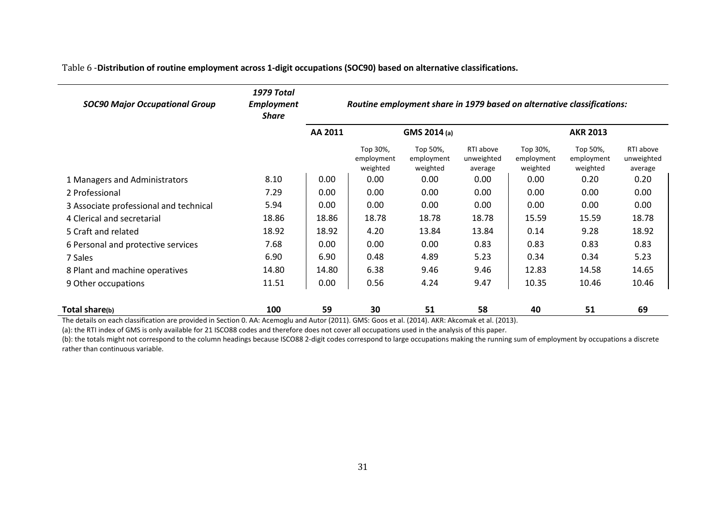Table 6 -**Distribution of routine employment across 1-digit occupations (SOC90) based on alternative classifications.** 

| <b>SOC90 Major Occupational Group</b>                                       | <b>1979 Total</b><br><b>Employment</b><br><b>Share</b> | Routine employment share in 1979 based on alternative classifications: |                                    |                                    |                                    |                                    |                                    |                                    |  |  |
|-----------------------------------------------------------------------------|--------------------------------------------------------|------------------------------------------------------------------------|------------------------------------|------------------------------------|------------------------------------|------------------------------------|------------------------------------|------------------------------------|--|--|
|                                                                             |                                                        | AA 2011                                                                |                                    | GMS 2014 (a)                       |                                    | <b>AKR 2013</b>                    |                                    |                                    |  |  |
|                                                                             |                                                        |                                                                        | Top 30%,<br>employment<br>weighted | Top 50%,<br>employment<br>weighted | RTI above<br>unweighted<br>average | Top 30%,<br>employment<br>weighted | Top 50%,<br>employment<br>weighted | RTI above<br>unweighted<br>average |  |  |
| 1 Managers and Administrators                                               | 8.10                                                   | 0.00                                                                   | 0.00                               | 0.00                               | 0.00                               | 0.00                               | 0.20                               | 0.20                               |  |  |
| 2 Professional                                                              | 7.29                                                   | 0.00                                                                   | 0.00                               | 0.00                               | 0.00                               | 0.00                               | 0.00                               | 0.00                               |  |  |
| 3 Associate professional and technical                                      | 5.94                                                   | 0.00                                                                   | 0.00                               | 0.00                               | 0.00                               | 0.00                               | 0.00                               | 0.00                               |  |  |
| 4 Clerical and secretarial                                                  | 18.86                                                  | 18.86                                                                  | 18.78                              | 18.78                              | 18.78                              | 15.59                              | 15.59                              | 18.78                              |  |  |
| 5 Craft and related                                                         | 18.92                                                  | 18.92                                                                  | 4.20                               | 13.84                              | 13.84                              | 0.14                               | 9.28                               | 18.92                              |  |  |
| 6 Personal and protective services                                          | 7.68                                                   | 0.00                                                                   | 0.00                               | 0.00                               | 0.83                               | 0.83                               | 0.83                               | 0.83                               |  |  |
| 7 Sales                                                                     | 6.90                                                   | 6.90                                                                   | 0.48                               | 4.89                               | 5.23                               | 0.34                               | 0.34                               | 5.23                               |  |  |
| 8 Plant and machine operatives                                              | 14.80                                                  | 14.80                                                                  | 6.38                               | 9.46                               | 9.46                               | 12.83                              | 14.58                              | 14.65                              |  |  |
| 9 Other occupations                                                         | 11.51                                                  | 0.00                                                                   | 0.56                               | 4.24                               | 9.47                               | 10.35                              | 10.46                              | 10.46                              |  |  |
| Total share(b)<br>$\mathbf{r}$ and $\mathbf{r}$ are the set of $\mathbf{r}$ | 100                                                    | 59                                                                     | 30                                 | 51                                 | 58                                 | 40                                 | 51                                 | 69                                 |  |  |

<span id="page-32-0"></span>The details on each classification are provided in Section [0.](#page-51-1) AA: Acemoglu and Autor (2011). GMS: Goos et al. (2014). AKR: Akcomak et al. (2013).

(a): the RTI index of GMS is only available for 21 ISCO88 codes and therefore does not cover all occupations used in the analysis of this paper.

(b): the totals might not correspond to the column headings because ISCO88 2-digit codes correspond to large occupations making the running sum of employment by occupations a discrete rather than continuous variable.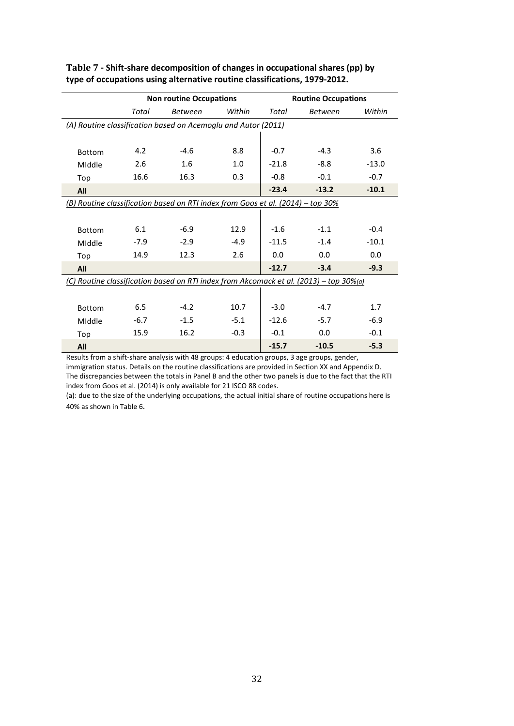|               |        | <b>Non routine Occupations</b>                                                             |        |              | <b>Routine Occupations</b> |         |
|---------------|--------|--------------------------------------------------------------------------------------------|--------|--------------|----------------------------|---------|
|               | Total  | <b>Between</b>                                                                             | Within | <b>Total</b> | <b>Between</b>             | Within  |
|               |        | (A) Routine classification based on Acemoglu and Autor (2011)                              |        |              |                            |         |
|               |        |                                                                                            |        |              |                            |         |
| <b>Bottom</b> | 4.2    | $-4.6$                                                                                     | 8.8    | $-0.7$       | $-4.3$                     | 3.6     |
| Middle        | 2.6    | 1.6                                                                                        | 1.0    | $-21.8$      | $-8.8$                     | $-13.0$ |
| Top           | 16.6   | 16.3                                                                                       | 0.3    | $-0.8$       | $-0.1$                     | $-0.7$  |
| All           |        |                                                                                            |        | $-23.4$      | $-13.2$                    | $-10.1$ |
|               |        | (B) Routine classification based on RTI index from Goos et al. (2014) - top 30%            |        |              |                            |         |
|               |        |                                                                                            |        |              |                            |         |
| <b>Bottom</b> | 6.1    | $-6.9$                                                                                     | 12.9   | $-1.6$       | $-1.1$                     | $-0.4$  |
| Middle        | $-7.9$ | $-2.9$                                                                                     | $-4.9$ | $-11.5$      | $-1.4$                     | $-10.1$ |
| Top           | 14.9   | 12.3                                                                                       | 2.6    | 0.0          | 0.0                        | 0.0     |
| All           |        |                                                                                            |        | $-12.7$      | $-3.4$                     | $-9.3$  |
|               |        | (C) Routine classification based on RTI index from Akcomack et al. (2013) - top 30%(a)     |        |              |                            |         |
|               |        |                                                                                            |        |              |                            |         |
| <b>Bottom</b> | 6.5    | $-4.2$                                                                                     | 10.7   | $-3.0$       | $-4.7$                     | 1.7     |
| Middle        | $-6.7$ | $-1.5$                                                                                     | $-5.1$ | $-12.6$      | $-5.7$                     | $-6.9$  |
| Top           | 15.9   | 16.2                                                                                       | $-0.3$ | $-0.1$       | 0.0                        | $-0.1$  |
| All           |        | Boculta from a chift chara anglucis with 10 grounge 1 education groung 2 ago groung gooder |        | $-15.7$      | $-10.5$                    | $-5.3$  |

#### <span id="page-33-0"></span>**Table 7 - Shift-share decomposition of changes in occupational shares (pp) by type of occupations using alternative routine classifications, 1979-2012.**

Results from a shift-share analysis with 48 groups: 4 education groups, 3 age groups, gender, immigration status. Details on the routine classifications are provided in Section XX and Appendix D. The discrepancies between the totals in Panel B and the other two panels is due to the fact that the RTI index from Goos et al. (2014) is only available for 21 ISCO 88 codes.

(a): due to the size of the underlying occupations, the actual initial share of routine occupations here is 40% as shown i[n Table 6](#page-32-0).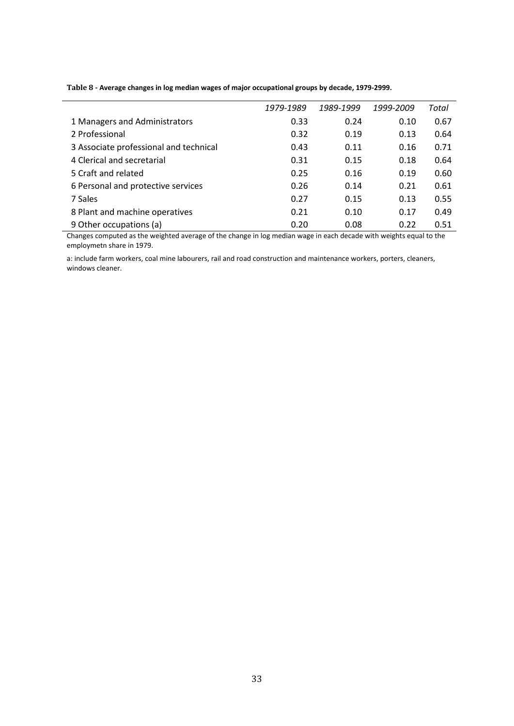| 1989-1999<br>1979-1989<br>1999-2009<br>Total<br>1 Managers and Administrators<br>0.33<br>0.67<br>0.24<br>0.10<br>2 Professional<br>0.32<br>0.64<br>0.13<br>0.19<br>3 Associate professional and technical<br>0.71<br>0.43<br>0.11<br>0.16<br>4 Clerical and secretarial<br>0.31<br>0.64<br>0.18<br>0.15<br>5 Craft and related<br>0.60<br>0.25<br>0.16<br>0.19<br>0.61<br>6 Personal and protective services<br>0.26<br>0.21<br>0.14<br>0.55<br>7 Sales<br>0.27<br>0.15<br>0.13<br>0.49<br>8 Plant and machine operatives<br>0.21<br>0.10<br>0.17<br>9 Other occupations (a)<br>0.51<br>0.20<br>0.22<br>0.08 |  |  |  |
|--------------------------------------------------------------------------------------------------------------------------------------------------------------------------------------------------------------------------------------------------------------------------------------------------------------------------------------------------------------------------------------------------------------------------------------------------------------------------------------------------------------------------------------------------------------------------------------------------------------|--|--|--|
|                                                                                                                                                                                                                                                                                                                                                                                                                                                                                                                                                                                                              |  |  |  |
|                                                                                                                                                                                                                                                                                                                                                                                                                                                                                                                                                                                                              |  |  |  |
|                                                                                                                                                                                                                                                                                                                                                                                                                                                                                                                                                                                                              |  |  |  |
|                                                                                                                                                                                                                                                                                                                                                                                                                                                                                                                                                                                                              |  |  |  |
|                                                                                                                                                                                                                                                                                                                                                                                                                                                                                                                                                                                                              |  |  |  |
|                                                                                                                                                                                                                                                                                                                                                                                                                                                                                                                                                                                                              |  |  |  |
|                                                                                                                                                                                                                                                                                                                                                                                                                                                                                                                                                                                                              |  |  |  |
|                                                                                                                                                                                                                                                                                                                                                                                                                                                                                                                                                                                                              |  |  |  |
|                                                                                                                                                                                                                                                                                                                                                                                                                                                                                                                                                                                                              |  |  |  |
|                                                                                                                                                                                                                                                                                                                                                                                                                                                                                                                                                                                                              |  |  |  |

<span id="page-34-0"></span>**Table 8 - Average changes in log median wages of major occupational groups by decade, 1979-2999.** 

Changes computed as the weighted average of the change in log median wage in each decade with weights equal to the employmetn share in 1979.

a: include farm workers, coal mine labourers, rail and road construction and maintenance workers, porters, cleaners, windows cleaner.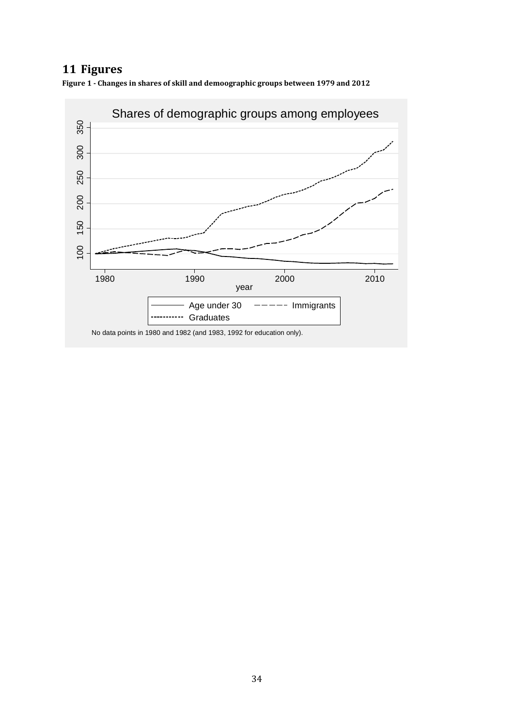## **11 Figures**

<span id="page-35-0"></span>**Figure 1 - Changes in shares of skill and demoographic groups between 1979 and 2012**



No data points in 1980 and 1982 (and 1983, 1992 for education only).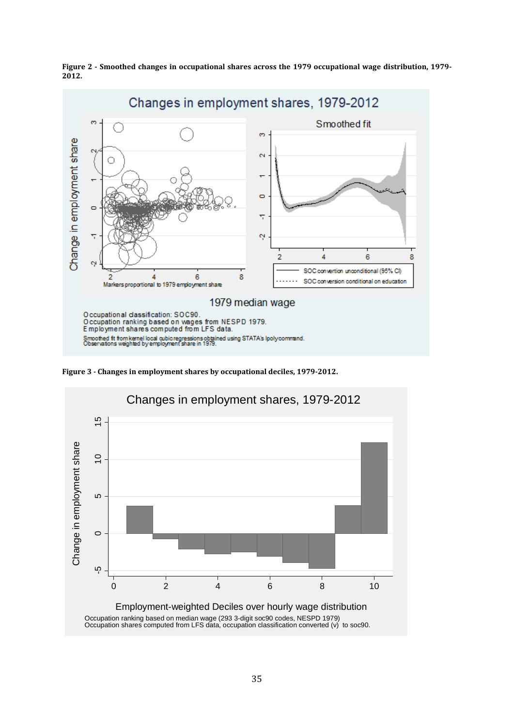

<span id="page-36-0"></span>**Figure 2 - Smoothed changes in occupational shares across the 1979 occupational wage distribution, 1979- 2012.**

<span id="page-36-1"></span>**Figure 3 - Changes in employment shares by occupational deciles, 1979-2012.**

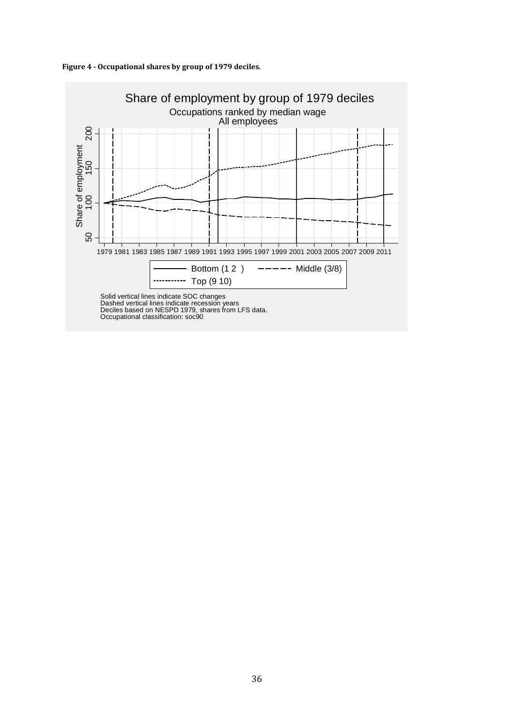

<span id="page-37-0"></span>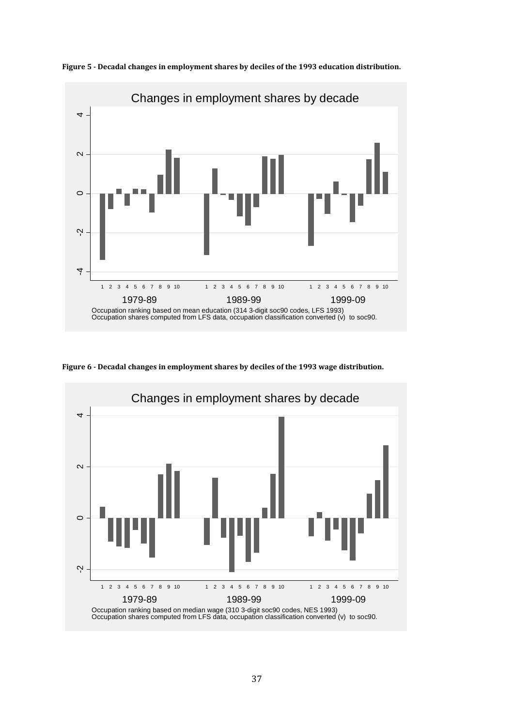

<span id="page-38-0"></span>**Figure 5 - Decadal changes in employment shares by deciles of the 1993 education distribution.**

<span id="page-38-1"></span>

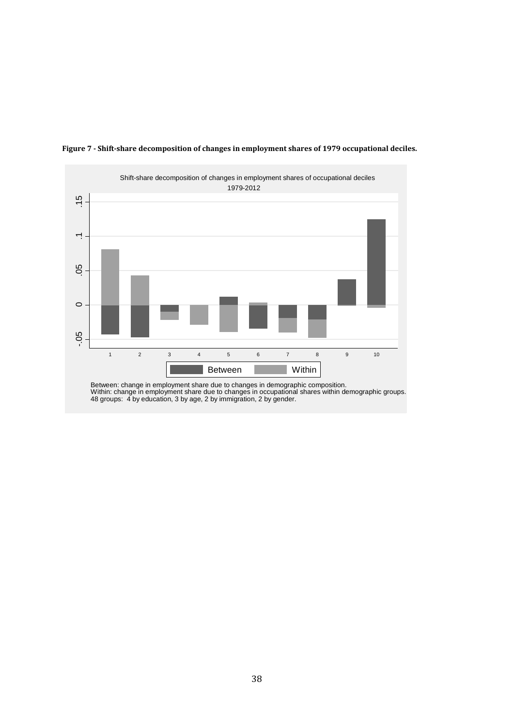

#### <span id="page-39-0"></span>**Figure 7 - Shift-share decomposition of changes in employment shares of 1979 occupational deciles.**

Within: change in employment share due to changes in occupational shares within demographic groups. 48 groups: 4 by education, 3 by age, 2 by immigration, 2 by gender.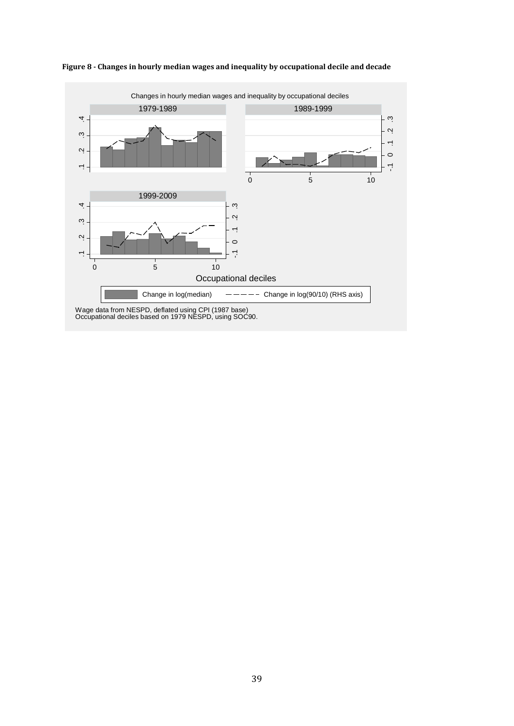

<span id="page-40-0"></span>**Figure 8 - Changes in hourly median wages and inequality by occupational decile and decade**

39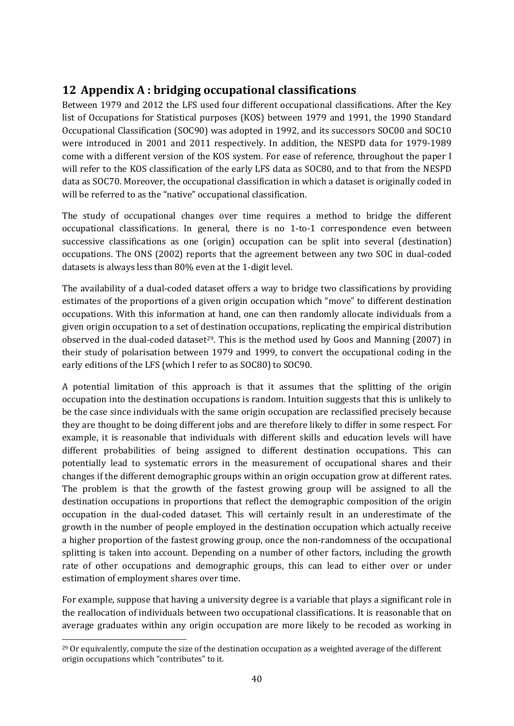## <span id="page-41-0"></span>**12 Appendix A : bridging occupational classifications**

Between 1979 and 2012 the LFS used four different occupational classifications. After the Key list of Occupations for Statistical purposes (KOS) between 1979 and 1991, the 1990 Standard Occupational Classification (SOC90) was adopted in 1992, and its successors SOC00 and SOC10 were introduced in 2001 and 2011 respectively. In addition, the NESPD data for 1979-1989 come with a different version of the KOS system. For ease of reference, throughout the paper I will refer to the KOS classification of the early LFS data as SOC80, and to that from the NESPD data as SOC70. Moreover, the occupational classification in which a dataset is originally coded in will be referred to as the "native" occupational classification.

The study of occupational changes over time requires a method to bridge the different occupational classifications. In general, there is no 1-to-1 correspondence even between successive classifications as one (origin) occupation can be split into several (destination) occupations. The ONS (2002) reports that the agreement between any two SOC in dual-coded datasets is always less than 80% even at the 1-digit level.

The availability of a dual-coded dataset offers a way to bridge two classifications by providing estimates of the proportions of a given origin occupation which "move" to different destination occupations. With this information at hand, one can then randomly allocate individuals from a given origin occupation to a set of destination occupations, replicating the empirical distribution observed in the dual-coded dataset<sup>29</sup>. This is the method used by Goos and Manning  $(2007)$  in their study of polarisation between 1979 and 1999, to convert the occupational coding in the early editions of the LFS (which I refer to as SOC80) to SOC90.

A potential limitation of this approach is that it assumes that the splitting of the origin occupation into the destination occupations is random. Intuition suggests that this is unlikely to be the case since individuals with the same origin occupation are reclassified precisely because they are thought to be doing different jobs and are therefore likely to differ in some respect. For example, it is reasonable that individuals with different skills and education levels will have different probabilities of being assigned to different destination occupations. This can potentially lead to systematic errors in the measurement of occupational shares and their changes if the different demographic groups within an origin occupation grow at different rates. The problem is that the growth of the fastest growing group will be assigned to all the destination occupations in proportions that reflect the demographic composition of the origin occupation in the dual-coded dataset. This will certainly result in an underestimate of the growth in the number of people employed in the destination occupation which actually receive a higher proportion of the fastest growing group, once the non-randomness of the occupational splitting is taken into account. Depending on a number of other factors, including the growth rate of other occupations and demographic groups, this can lead to either over or under estimation of employment shares over time.

For example, suppose that having a university degree is a variable that plays a significant role in the reallocation of individuals between two occupational classifications. It is reasonable that on average graduates within any origin occupation are more likely to be recoded as working in

<span id="page-41-1"></span> $29$  Or equivalently, compute the size of the destination occupation as a weighted average of the different origin occupations which "contributes" to it.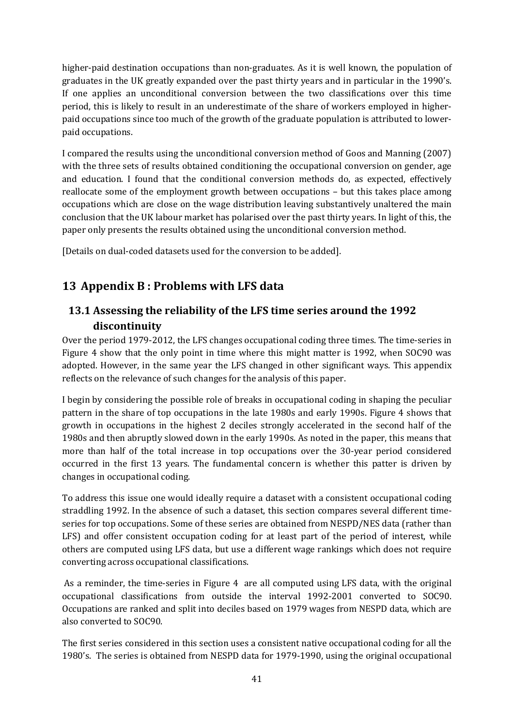higher-paid destination occupations than non-graduates. As it is well known, the population of graduates in the UK greatly expanded over the past thirty years and in particular in the 1990's. If one applies an unconditional conversion between the two classifications over this time period, this is likely to result in an underestimate of the share of workers employed in higherpaid occupations since too much of the growth of the graduate population is attributed to lowerpaid occupations.

I compared the results using the unconditional conversion method of Goos and Manning (2007) with the three sets of results obtained conditioning the occupational conversion on gender, age and education. I found that the conditional conversion methods do, as expected, effectively reallocate some of the employment growth between occupations – but this takes place among occupations which are close on the wage distribution leaving substantively unaltered the main conclusion that the UK labour market has polarised over the past thirty years. In light of this, the paper only presents the results obtained using the unconditional conversion method.

[Details on dual-coded datasets used for the conversion to be added].

## <span id="page-42-0"></span>**13 Appendix B : Problems with LFS data**

#### **13.1 Assessing the reliability of the LFS time series around the 1992 discontinuity**

Over the period 1979-2012, the LFS changes occupational coding three times. The time-series in [Figure 4](#page-37-0) show that the only point in time where this might matter is 1992, when SOC90 was adopted. However, in the same year the LFS changed in other significant ways. This appendix reflects on the relevance of such changes for the analysis of this paper.

I begin by considering the possible role of breaks in occupational coding in shaping the peculiar pattern in the share of top occupations in the late 1980s and early 1990s. [Figure 4](#page-37-0) shows that growth in occupations in the highest 2 deciles strongly accelerated in the second half of the 1980s and then abruptly slowed down in the early 1990s. As noted in the paper, this means that more than half of the total increase in top occupations over the 30-year period considered occurred in the first 13 years. The fundamental concern is whether this patter is driven by changes in occupational coding.

To address this issue one would ideally require a dataset with a consistent occupational coding straddling 1992. In the absence of such a dataset, this section compares several different timeseries for top occupations. Some of these series are obtained from NESPD/NES data (rather than LFS) and offer consistent occupation coding for at least part of the period of interest, while others are computed using LFS data, but use a different wage rankings which does not require converting across occupational classifications.

As a reminder, the time-series in [Figure 4](#page-37-0) are all computed using LFS data, with the original occupational classifications from outside the interval 1992-2001 converted to SOC90. Occupations are ranked and split into deciles based on 1979 wages from NESPD data, which are also converted to SOC90.

The first series considered in this section uses a consistent native occupational coding for all the 1980's. The series is obtained from NESPD data for 1979-1990, using the original occupational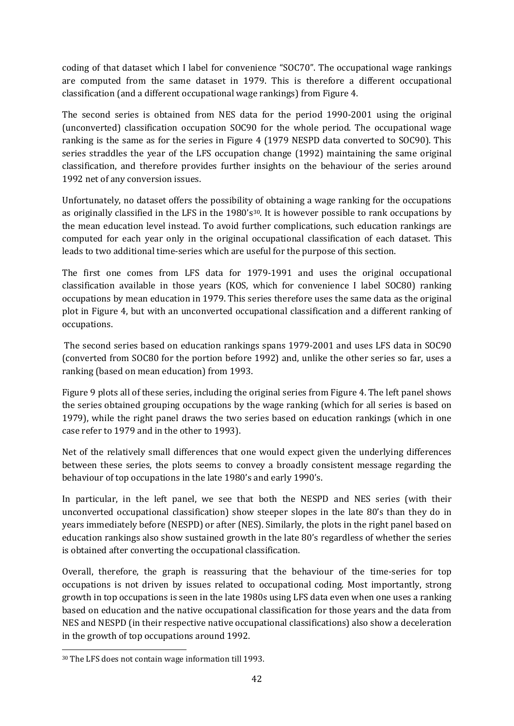coding of that dataset which I label for convenience "SOC70". The occupational wage rankings are computed from the same dataset in 1979. This is therefore a different occupational classification (and a different occupational wage rankings) from [Figure 4.](#page-37-0)

The second series is obtained from NES data for the period 1990-2001 using the original (unconverted) classification occupation SOC90 for the whole period. The occupational wage ranking is the same as for the series in [Figure 4](#page-37-0) (1979 NESPD data converted to SOC90). This series straddles the year of the LFS occupation change (1992) maintaining the same original classification, and therefore provides further insights on the behaviour of the series around 1992 net of any conversion issues.

Unfortunately, no dataset offers the possibility of obtaining a wage ranking for the occupations as originally classified in the LFS in the 1980's<sup>[30](#page-43-0)</sup>. It is however possible to rank occupations by the mean education level instead. To avoid further complications, such education rankings are computed for each year only in the original occupational classification of each dataset. This leads to two additional time-series which are useful for the purpose of this section.

The first one comes from LFS data for 1979-1991 and uses the original occupational classification available in those years (KOS, which for convenience I label SOC80) ranking occupations by mean education in 1979. This series therefore uses the same data as the original plot in [Figure 4,](#page-37-0) but with an unconverted occupational classification and a different ranking of occupations.

The second series based on education rankings spans 1979-2001 and uses LFS data in SOC90 (converted from SOC80 for the portion before 1992) and, unlike the other series so far, uses a ranking (based on mean education) from 1993.

[Figure 9](#page-45-1) plots all of these series, including the original series from [Figure 4.](#page-37-0) The left panel shows the series obtained grouping occupations by the wage ranking (which for all series is based on 1979), while the right panel draws the two series based on education rankings (which in one case refer to 1979 and in the other to 1993).

Net of the relatively small differences that one would expect given the underlying differences between these series, the plots seems to convey a broadly consistent message regarding the behaviour of top occupations in the late 1980's and early 1990's.

In particular, in the left panel, we see that both the NESPD and NES series (with their unconverted occupational classification) show steeper slopes in the late 80's than they do in years immediately before (NESPD) or after (NES). Similarly, the plots in the right panel based on education rankings also show sustained growth in the late 80's regardless of whether the series is obtained after converting the occupational classification.

Overall, therefore, the graph is reassuring that the behaviour of the time-series for top occupations is not driven by issues related to occupational coding. Most importantly, strong growth in top occupations is seen in the late 1980s using LFS data even when one uses a ranking based on education and the native occupational classification for those years and the data from NES and NESPD (in their respective native occupational classifications) also show a deceleration in the growth of top occupations around 1992.

<span id="page-43-0"></span> <sup>30</sup> The LFS does not contain wage information till 1993.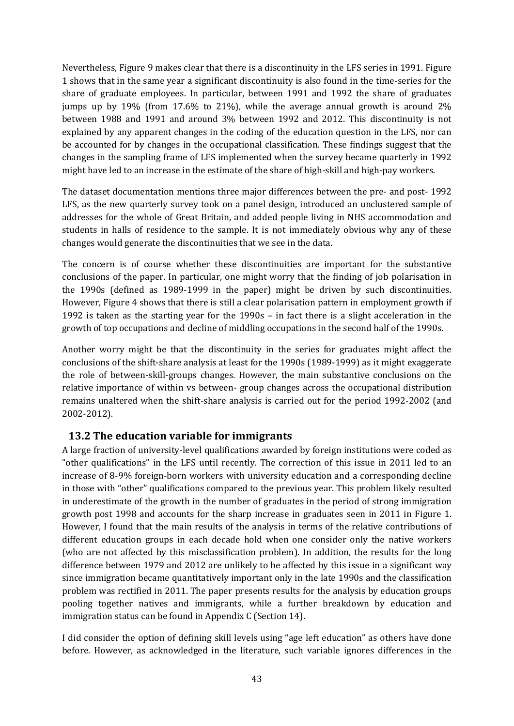Nevertheless, [Figure 9](#page-45-1) makes clear that there is a discontinuity in the LFS series in 1991. [Figure](#page-35-0)  [1](#page-35-0) shows that in the same year a significant discontinuity is also found in the time-series for the share of graduate employees. In particular, between 1991 and 1992 the share of graduates jumps up by 19% (from 17.6% to 21%), while the average annual growth is around 2% between 1988 and 1991 and around 3% between 1992 and 2012. This discontinuity is not explained by any apparent changes in the coding of the education question in the LFS, nor can be accounted for by changes in the occupational classification. These findings suggest that the changes in the sampling frame of LFS implemented when the survey became quarterly in 1992 might have led to an increase in the estimate of the share of high-skill and high-pay workers.

The dataset documentation mentions three major differences between the pre- and post- 1992 LFS, as the new quarterly survey took on a panel design, introduced an unclustered sample of addresses for the whole of Great Britain, and added people living in NHS accommodation and students in halls of residence to the sample. It is not immediately obvious why any of these changes would generate the discontinuities that we see in the data.

The concern is of course whether these discontinuities are important for the substantive conclusions of the paper. In particular, one might worry that the finding of job polarisation in the 1990s (defined as 1989-1999 in the paper) might be driven by such discontinuities. However[, Figure 4](#page-37-0) shows that there is still a clear polarisation pattern in employment growth if 1992 is taken as the starting year for the 1990s – in fact there is a slight acceleration in the growth of top occupations and decline of middling occupations in the second half of the 1990s.

Another worry might be that the discontinuity in the series for graduates might affect the conclusions of the shift-share analysis at least for the 1990s (1989-1999) as it might exaggerate the role of between-skill-groups changes. However, the main substantive conclusions on the relative importance of within vs between- group changes across the occupational distribution remains unaltered when the shift-share analysis is carried out for the period 1992-2002 (and 2002-2012).

#### **13.2 The education variable for immigrants**

A large fraction of university-level qualifications awarded by foreign institutions were coded as "other qualifications" in the LFS until recently. The correction of this issue in 2011 led to an increase of 8-9% foreign-born workers with university education and a corresponding decline in those with "other" qualifications compared to the previous year. This problem likely resulted in underestimate of the growth in the number of graduates in the period of strong immigration growth post 1998 and accounts for the sharp increase in graduates seen in 2011 in [Figure 1.](#page-35-0) However, I found that the main results of the analysis in terms of the relative contributions of different education groups in each decade hold when one consider only the native workers (who are not affected by this misclassification problem). In addition, the results for the long difference between 1979 and 2012 are unlikely to be affected by this issue in a significant way since immigration became quantitatively important only in the late 1990s and the classification problem was rectified in 2011. The paper presents results for the analysis by education groups pooling together natives and immigrants, while a further breakdown by education and immigration status can be found in Appendix C (Section [14\)](#page-45-0).

I did consider the option of defining skill levels using "age left education" as others have done before. However, as acknowledged in the literature, such variable ignores differences in the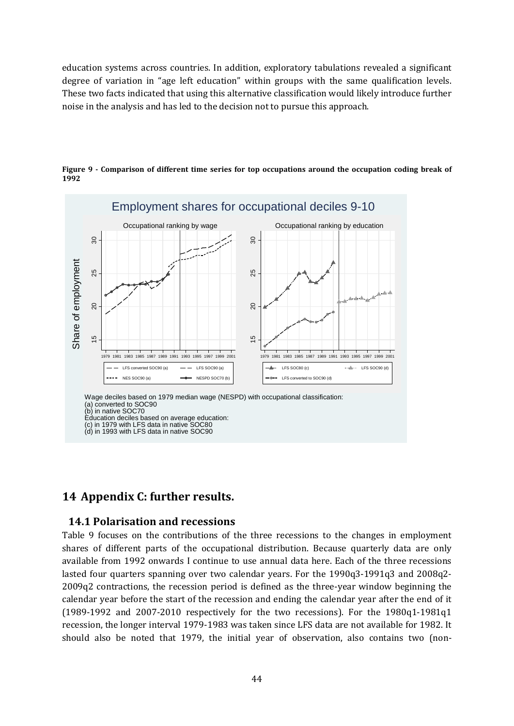education systems across countries. In addition, exploratory tabulations revealed a significant degree of variation in "age left education" within groups with the same qualification levels. These two facts indicated that using this alternative classification would likely introduce further noise in the analysis and has led to the decision not to pursue this approach.



<span id="page-45-1"></span>**Figure 9 - Comparison of different time series for top occupations around the occupation coding break of 1992**

#### <span id="page-45-0"></span>**14 Appendix C: further results.**

#### **14.1 Polarisation and recessions**

[Table 9](#page-47-0) focuses on the contributions of the three recessions to the changes in employment shares of different parts of the occupational distribution. Because quarterly data are only available from 1992 onwards I continue to use annual data here. Each of the three recessions lasted four quarters spanning over two calendar years. For the 1990q3-1991q3 and 2008q2- 2009q2 contractions, the recession period is defined as the three-year window beginning the calendar year before the start of the recession and ending the calendar year after the end of it (1989-1992 and 2007-2010 respectively for the two recessions). For the 1980q1-1981q1 recession, the longer interval 1979-1983 was taken since LFS data are not available for 1982. It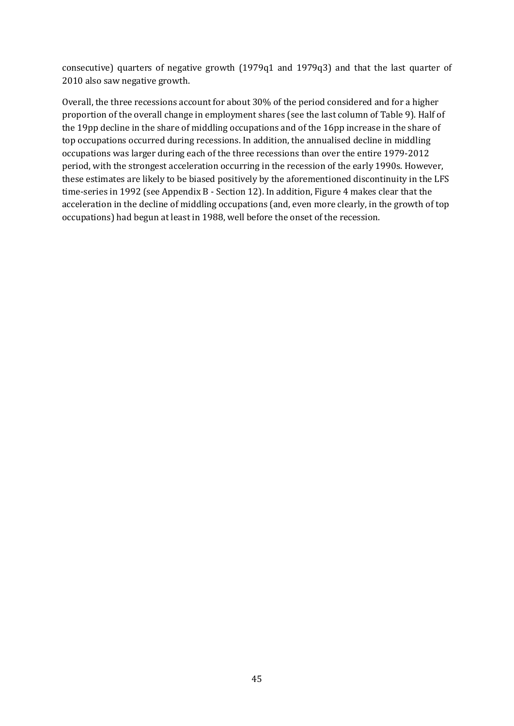consecutive) quarters of negative growth (1979q1 and 1979q3) and that the last quarter of 2010 also saw negative growth.

Overall, the three recessions account for about 30% of the period considered and for a higher proportion of the overall change in employment shares (see the last column o[f Table 9\)](#page-47-0). Half of the 19pp decline in the share of middling occupations and of the 16pp increase in the share of top occupations occurred during recessions. In addition, the annualised decline in middling occupations was larger during each of the three recessions than over the entire 1979-2012 period, with the strongest acceleration occurring in the recession of the early 1990s. However, these estimates are likely to be biased positively by the aforementioned discontinuity in the LFS time-series in 1992 (see Appendix B - Section [12\)](#page-41-0). In addition[, Figure 4](#page-37-0) makes clear that the acceleration in the decline of middling occupations (and, even more clearly, in the growth of top occupations) had begun at least in 1988, well before the onset of the recession.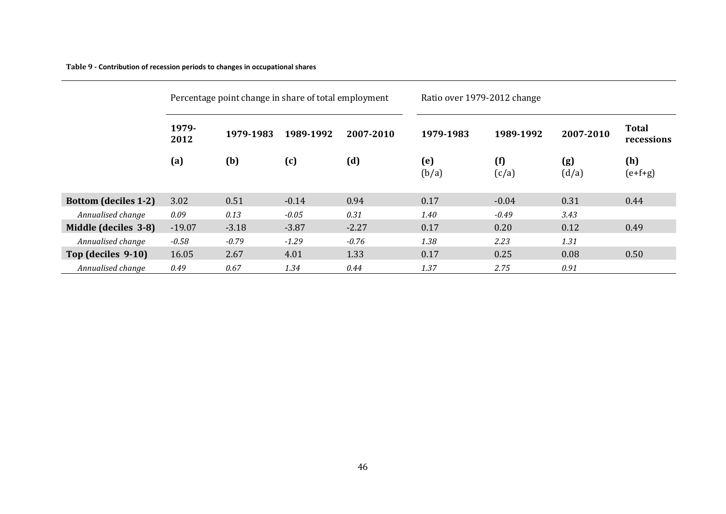#### **Table 9 - Contribution of recession periods to changes in occupational shares**

<span id="page-47-0"></span>

|                             |                            | Percentage point change in share of total employment |           |           | Ratio over 1979-2012 change |              |              |                            |  |
|-----------------------------|----------------------------|------------------------------------------------------|-----------|-----------|-----------------------------|--------------|--------------|----------------------------|--|
|                             | 1979-<br>1979-1983<br>2012 |                                                      | 1989-1992 | 2007-2010 | 1979-1983                   | 1989-1992    | 2007-2010    | <b>Total</b><br>recessions |  |
|                             | (a)                        | (b)                                                  | (c)       | (d)       | (e)<br>(b/a)                | (f)<br>(c/a) | (g)<br>(d/a) | (h)<br>$(e+f+g)$           |  |
| <b>Bottom (deciles 1-2)</b> | 3.02                       | 0.51                                                 | $-0.14$   | 0.94      | 0.17                        | $-0.04$      | 0.31         | 0.44                       |  |
| Annualised change           | 0.09                       | 0.13                                                 | $-0.05$   | 0.31      | 1.40                        | $-0.49$      | 3.43         |                            |  |
| Middle (deciles 3-8)        | $-19.07$                   | $-3.18$                                              | $-3.87$   | $-2.27$   | 0.17                        | 0.20         | 0.12         | 0.49                       |  |
| Annualised change           | $-0.58$                    | $-0.79$                                              | $-1.29$   | $-0.76$   | 1.38                        | 2.23         | 1.31         |                            |  |
| Top (deciles 9-10)          | 16.05                      | 2.67                                                 | 4.01      | 1.33      | 0.17                        | 0.25         | 0.08         | 0.50                       |  |
| Annualised change           | 0.49                       | 0.67                                                 | 1.34      | 0.44      | 1.37                        | 2.75         | 0.91         |                            |  |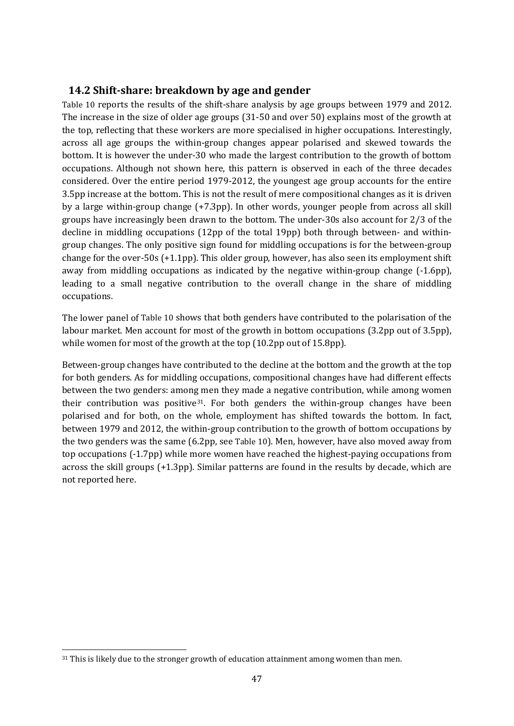#### **14.2 Shift-share: breakdown by age and gender**

[Table 10](#page-49-0) reports the results of the shift-share analysis by age groups between 1979 and 2012. The increase in the size of older age groups (31-50 and over 50) explains most of the growth at the top, reflecting that these workers are more specialised in higher occupations. Interestingly, across all age groups the within-group changes appear polarised and skewed towards the bottom. It is however the under-30 who made the largest contribution to the growth of bottom occupations. Although not shown here, this pattern is observed in each of the three decades considered. Over the entire period 1979-2012, the youngest age group accounts for the entire 3.5pp increase at the bottom. This is not the result of mere compositional changes as it is driven by a large within-group change (+7.3pp). In other words, younger people from across all skill groups have increasingly been drawn to the bottom. The under-30s also account for 2/3 of the decline in middling occupations (12pp of the total 19pp) both through between- and withingroup changes. The only positive sign found for middling occupations is for the between-group change for the over-50s (+1.1pp). This older group, however, has also seen its employment shift away from middling occupations as indicated by the negative within-group change (-1.6pp), leading to a small negative contribution to the overall change in the share of middling occupations.

The lower panel of [Table 10](#page-49-0) shows that both genders have contributed to the polarisation of the labour market. Men account for most of the growth in bottom occupations (3.2pp out of 3.5pp), while women for most of the growth at the top (10.2pp out of 15.8pp).

Between-group changes have contributed to the decline at the bottom and the growth at the top for both genders. As for middling occupations, compositional changes have had different effects between the two genders: among men they made a negative contribution, while among women their contribution was positive<sup>31</sup>. For both genders the within-group changes have been polarised and for both, on the whole, employment has shifted towards the bottom. In fact, between 1979 and 2012, the within-group contribution to the growth of bottom occupations by the two genders was the same (6.2pp, see [Table 10\)](#page-49-0). Men, however, have also moved away from top occupations (-1.7pp) while more women have reached the highest-paying occupations from across the skill groups (+1.3pp). Similar patterns are found in the results by decade, which are not reported here.

<span id="page-48-0"></span><sup>&</sup>lt;sup>31</sup> This is likely due to the stronger growth of education attainment among women than men.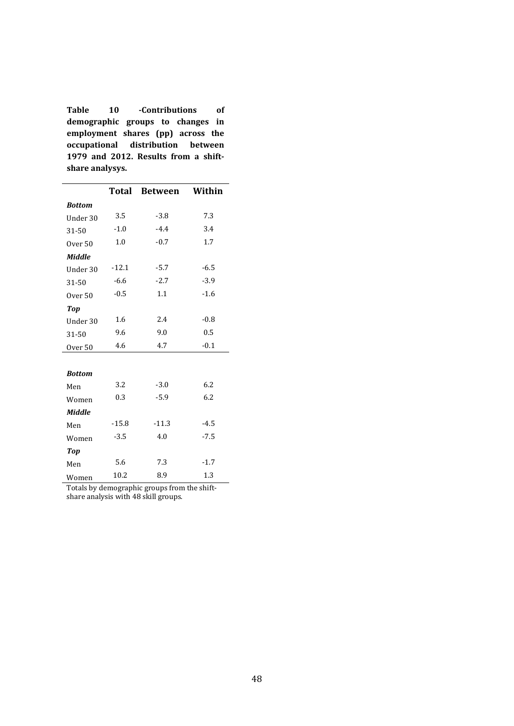<span id="page-49-0"></span>**Table 10 -Contributions of demographic groups to changes in employment shares (pp) across the occupational distribution between 1979 and 2012. Results from a shiftshare analysys.**

|                    | <b>Total</b> | <b>Between</b> | Within |
|--------------------|--------------|----------------|--------|
| <b>Bottom</b>      |              |                |        |
| Under 30           | 3.5          | $-3.8$         | 7.3    |
| 31-50              | $-1.0$       | $-4.4$         | 3.4    |
| Over <sub>50</sub> | 1.0          | $-0.7$         | 1.7    |
| <b>Middle</b>      |              |                |        |
| Under 30           | $-12.1$      | $-5.7$         | $-6.5$ |
| 31-50              | $-6.6$       | $-2.7$         | $-3.9$ |
| Over <sub>50</sub> | $-0.5$       | 1.1            | $-1.6$ |
| <b>Top</b>         |              |                |        |
| Under 30           | 1.6          | 2.4            | $-0.8$ |
| 31-50              | 9.6          | 9.0            | 0.5    |
| Over 50            | 4.6          | 4.7            | $-0.1$ |
|                    |              |                |        |
| <b>Bottom</b>      |              |                |        |
| Men                | 3.2          | $-3.0$         | 6.2    |
| Women              | 0.3          | $-5.9$         | 6.2    |
| <b>Middle</b>      |              |                |        |
| Men                | $-15.8$      | $-11.3$        | $-4.5$ |
| Women              | $-3.5$       | 4.0            | $-7.5$ |
| <b>Top</b>         |              |                |        |
| Men                | 5.6          | 7.3            | $-1.7$ |
| Women              | 10.2         | 8.9            | 1.3    |

Totals by demographic groups from the shiftshare analysis with 48 skill groups.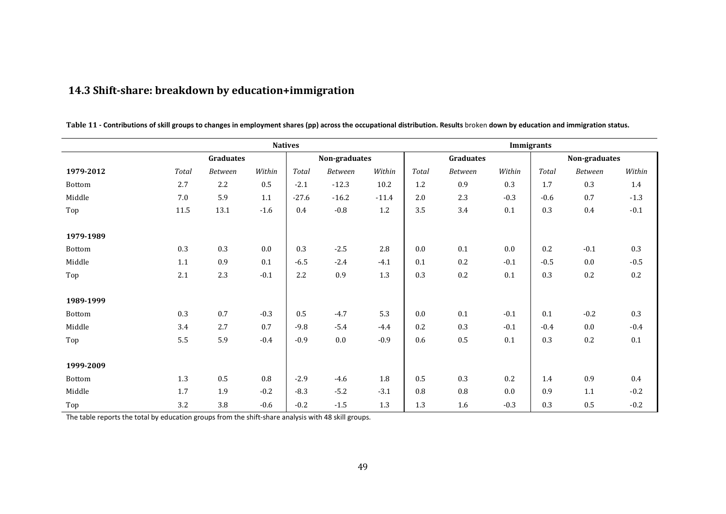|           |          |                |         | <b>Natives</b> |               |         |              |                  |         | <b>Immigrants</b>                           |                |         |
|-----------|----------|----------------|---------|----------------|---------------|---------|--------------|------------------|---------|---------------------------------------------|----------------|---------|
|           |          | Graduates      |         |                | Non-graduates |         |              | <b>Graduates</b> |         |                                             | Non-graduates  |         |
| 1979-2012 | Total    | <b>Between</b> | Within  | Total          | Between       | Within  | <b>Total</b> | Between          | Within  | $\operatorname{\mathcal{T}\!\mathit{otal}}$ | <b>Between</b> | Within  |
| Bottom    | 2.7      | 2.2            | 0.5     | $-2.1$         | $-12.3$       | 10.2    | 1.2          | 0.9              | 0.3     | 1.7                                         | 0.3            | 1.4     |
| Middle    | 7.0      | 5.9            | $1.1\,$ | $-27.6$        | $-16.2$       | $-11.4$ | 2.0          | 2.3              | $-0.3$  | $-0.6$                                      | $0.7\,$        | $-1.3$  |
| Top       | $11.5\,$ | 13.1           | $-1.6$  | 0.4            | $-0.8$        | $1.2\,$ | 3.5          | 3.4              | $0.1\,$ | 0.3                                         | 0.4            | $-0.1$  |
| 1979-1989 |          |                |         |                |               |         |              |                  |         |                                             |                |         |
| Bottom    | 0.3      | 0.3            | 0.0     | 0.3            | $-2.5$        | 2.8     | 0.0          | 0.1              | 0.0     | 0.2                                         | $-0.1$         | 0.3     |
| Middle    | 1.1      | 0.9            | 0.1     | $-6.5$         | $-2.4$        | $-4.1$  | 0.1          | 0.2              | $-0.1$  | $-0.5$                                      | 0.0            | $-0.5$  |
| Top       | 2.1      | 2.3            | $-0.1$  | 2.2            | 0.9           | $1.3\,$ | 0.3          | 0.2              | 0.1     | 0.3                                         | $0.2\,$        | 0.2     |
| 1989-1999 |          |                |         |                |               |         |              |                  |         |                                             |                |         |
| Bottom    | 0.3      | 0.7            | $-0.3$  | 0.5            | $-4.7$        | 5.3     | 0.0          | 0.1              | $-0.1$  | 0.1                                         | $-0.2$         | 0.3     |
| Middle    | 3.4      | 2.7            | 0.7     | $-9.8$         | $-5.4$        | $-4.4$  | 0.2          | 0.3              | $-0.1$  | $-0.4$                                      | $0.0\,$        | $-0.4$  |
| Top       | 5.5      | 5.9            | $-0.4$  | $-0.9$         | $0.0\,$       | $-0.9$  | 0.6          | $0.5\,$          | $0.1\,$ | 0.3                                         | $0.2\,$        | 0.1     |
| 1999-2009 |          |                |         |                |               |         |              |                  |         |                                             |                |         |
| Bottom    | $1.3\,$  | 0.5            | $0.8\,$ | $-2.9$         | $-4.6$        | $1.8\,$ | 0.5          | 0.3              | 0.2     | 1.4                                         | 0.9            | $0.4\,$ |
| Middle    | 1.7      | 1.9            | $-0.2$  | $-8.3$         | $-5.2$        | $-3.1$  | 0.8          | $\rm 0.8$        | $0.0\,$ | 0.9                                         | 1.1            | $-0.2$  |
| Top       | 3.2      | 3.8            | $-0.6$  | $-0.2$         | $-1.5$        | $1.3\,$ | 1.3          | 1.6              | $-0.3$  | 0.3                                         | 0.5            | $-0.2$  |

## **14.3 Shift-share: breakdown by education+immigration**

**Table 11 - Contributions of skill groups to changes in employment shares (pp) across the occupational distribution. Results** broken **down by education and immigration status.** 

The table reports the total by education groups from the shift-share analysis with 48 skill groups.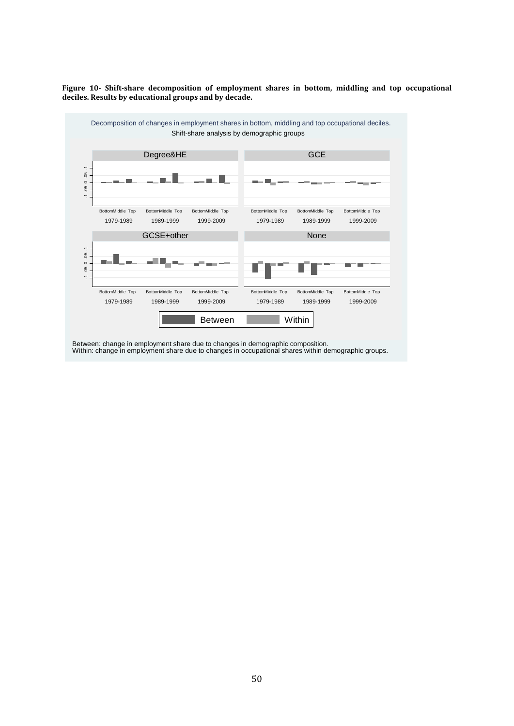**Figure 10- Shift-share decomposition of employment shares in bottom, middling and top occupational deciles. Results by educational groups and by decade.**

<span id="page-51-1"></span>

<span id="page-51-0"></span>Between: change in employment share due to changes in demographic composition. Within: change in employment share due to changes in occupational shares within demographic groups.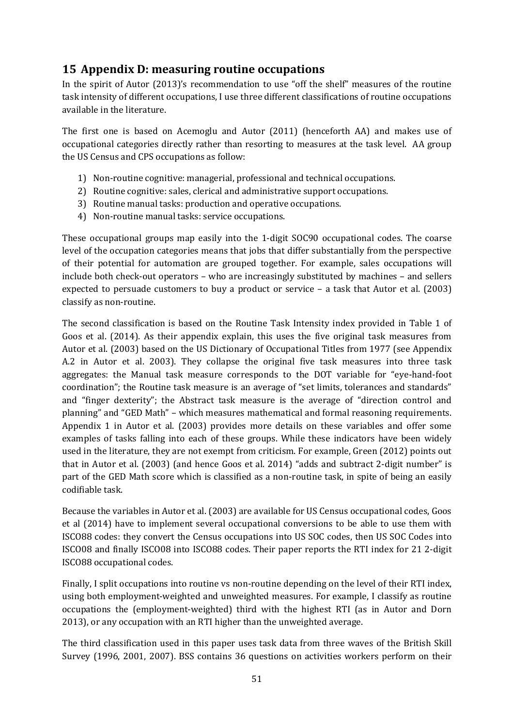## **15 Appendix D: measuring routine occupations**

In the spirit of Autor (2013)'s recommendation to use "off the shelf" measures of the routine task intensity of different occupations, I use three different classifications of routine occupations available in the literature.

The first one is based on Acemoglu and Autor (2011) (henceforth AA) and makes use of occupational categories directly rather than resorting to measures at the task level. AA group the US Census and CPS occupations as follow:

- 1) Non-routine cognitive: managerial, professional and technical occupations.
- 2) Routine cognitive: sales, clerical and administrative support occupations.
- 3) Routine manual tasks: production and operative occupations.
- 4) Non-routine manual tasks: service occupations.

These occupational groups map easily into the 1-digit SOC90 occupational codes. The coarse level of the occupation categories means that jobs that differ substantially from the perspective of their potential for automation are grouped together. For example, sales occupations will include both check-out operators – who are increasingly substituted by machines – and sellers expected to persuade customers to buy a product or service – a task that Autor et al. (2003) classify as non-routine.

The second classification is based on the Routine Task Intensity index provided in Table 1 of Goos et al. (2014). As their appendix explain, this uses the five original task measures from Autor et al. (2003) based on the US Dictionary of Occupational Titles from 1977 (see Appendix A.2 in Autor et al. 2003). They collapse the original five task measures into three task aggregates: the Manual task measure corresponds to the DOT variable for "eye-hand-foot coordination"; the Routine task measure is an average of "set limits, tolerances and standards" and "finger dexterity"; the Abstract task measure is the average of "direction control and planning" and "GED Math" – which measures mathematical and formal reasoning requirements. Appendix 1 in Autor et al. (2003) provides more details on these variables and offer some examples of tasks falling into each of these groups. While these indicators have been widely used in the literature, they are not exempt from criticism. For example, Green (2012) points out that in Autor et al. (2003) (and hence Goos et al. 2014) "adds and subtract 2-digit number" is part of the GED Math score which is classified as a non-routine task, in spite of being an easily codifiable task.

Because the variables in Autor et al. (2003) are available for US Census occupational codes, Goos et al (2014) have to implement several occupational conversions to be able to use them with ISCO88 codes: they convert the Census occupations into US SOC codes, then US SOC Codes into ISCO08 and finally ISCO08 into ISCO88 codes. Their paper reports the RTI index for 21 2-digit ISCO88 occupational codes.

Finally, I split occupations into routine vs non-routine depending on the level of their RTI index, using both employment-weighted and unweighted measures. For example, I classify as routine occupations the (employment-weighted) third with the highest RTI (as in Autor and Dorn 2013), or any occupation with an RTI higher than the unweighted average.

The third classification used in this paper uses task data from three waves of the British Skill Survey (1996, 2001, 2007). BSS contains 36 questions on activities workers perform on their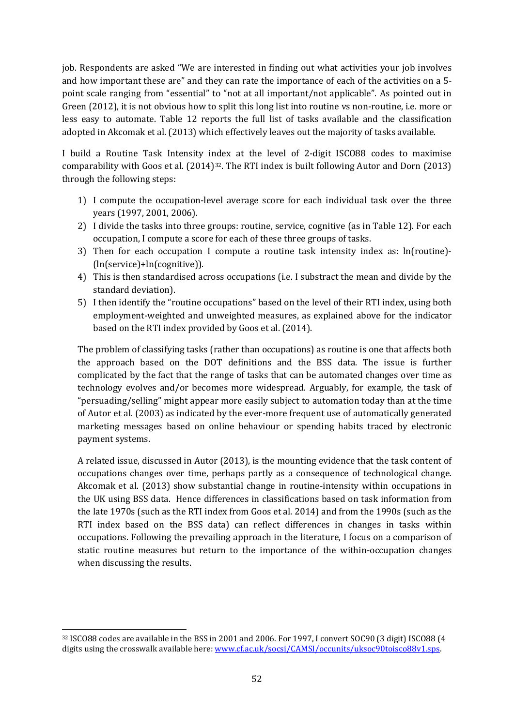job. Respondents are asked "We are interested in finding out what activities your job involves and how important these are" and they can rate the importance of each of the activities on a 5 point scale ranging from "essential" to "not at all important/not applicable". As pointed out in Green (2012), it is not obvious how to split this long list into routine vs non-routine, i.e. more or less easy to automate. [Table 12](#page-54-0) reports the full list of tasks available and the classification adopted in Akcomak et al. (2013) which effectively leaves out the majority of tasks available.

I build a Routine Task Intensity index at the level of 2-digit ISCO88 codes to maximise comparability with Goos et al. (2014)<sup>32</sup>. The RTI index is built following Autor and Dorn (2013) through the following steps:

- 1) I compute the occupation-level average score for each individual task over the three years (1997, 2001, 2006).
- 2) I divide the tasks into three groups: routine, service, cognitive (as in [Table 12\)](#page-54-0). For each occupation, I compute a score for each of these three groups of tasks.
- 3) Then for each occupation I compute a routine task intensity index as: ln(routine)- (ln(service)+ln(cognitive)).
- 4) This is then standardised across occupations (i.e. I substract the mean and divide by the standard deviation).
- 5) I then identify the "routine occupations" based on the level of their RTI index, using both employment-weighted and unweighted measures, as explained above for the indicator based on the RTI index provided by Goos et al. (2014).

The problem of classifying tasks (rather than occupations) as routine is one that affects both the approach based on the DOT definitions and the BSS data. The issue is further complicated by the fact that the range of tasks that can be automated changes over time as technology evolves and/or becomes more widespread. Arguably, for example, the task of "persuading/selling" might appear more easily subject to automation today than at the time of Autor et al. (2003) as indicated by the ever-more frequent use of automatically generated marketing messages based on online behaviour or spending habits traced by electronic payment systems.

A related issue, discussed in Autor (2013), is the mounting evidence that the task content of occupations changes over time, perhaps partly as a consequence of technological change. Akcomak et al. (2013) show substantial change in routine-intensity within occupations in the UK using BSS data. Hence differences in classifications based on task information from the late 1970s (such as the RTI index from Goos et al. 2014) and from the 1990s (such as the RTI index based on the BSS data) can reflect differences in changes in tasks within occupations. Following the prevailing approach in the literature, I focus on a comparison of static routine measures but return to the importance of the within-occupation changes when discussing the results.

<span id="page-53-0"></span> <sup>32</sup> ISCO88 codes are available in the BSS in 2001 and 2006. For 1997, I convert SOC90 (3 digit) ISCO88 (4 digits using the crosswalk available here: [www.cf.ac.uk/socsi/CAMSI/occunits/uksoc90toisco88v1.sps.](http://www.cf.ac.uk/socsi/CAMSI/occunits/uksoc90toisco88v1.sps)